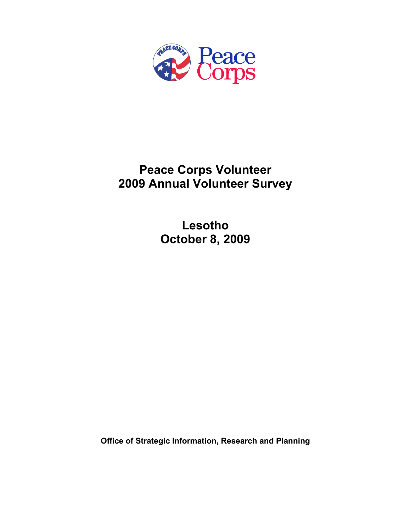

# **Peace Corps Volunteer 2009 Annual Volunteer Survey**

**Lesotho October 8, 2009** 

**Office of Strategic Information, Research and Planning**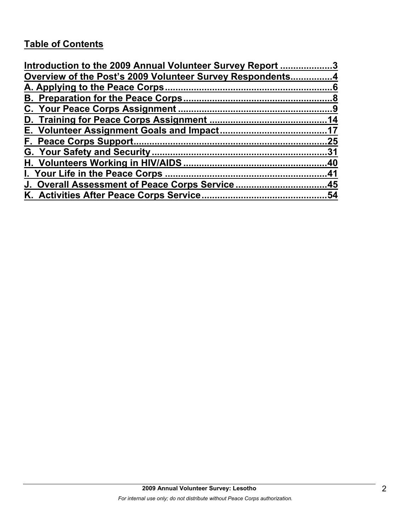## **Table of Contents**

| Introduction to the 2009 Annual Volunteer Survey Report 3 |     |
|-----------------------------------------------------------|-----|
| Overview of the Post's 2009 Volunteer Survey Respondents4 |     |
|                                                           |     |
|                                                           |     |
|                                                           |     |
|                                                           |     |
|                                                           |     |
|                                                           | .25 |
|                                                           |     |
|                                                           |     |
|                                                           |     |
| J. Overall Assessment of Peace Corps Service45            |     |
|                                                           | .54 |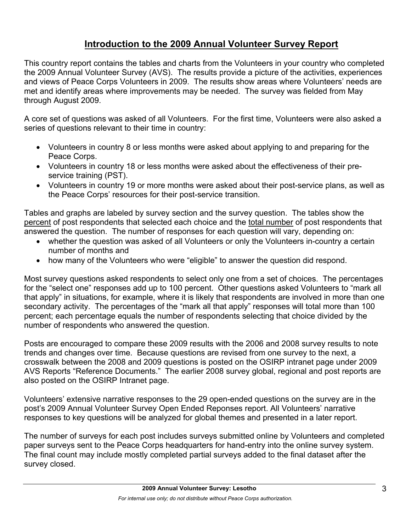## **Introduction to the 2009 Annual Volunteer Survey Report**

This country report contains the tables and charts from the Volunteers in your country who completed the 2009 Annual Volunteer Survey (AVS). The results provide a picture of the activities, experiences and views of Peace Corps Volunteers in 2009. The results show areas where Volunteers' needs are met and identify areas where improvements may be needed. The survey was fielded from May through August 2009.

A core set of questions was asked of all Volunteers. For the first time, Volunteers were also asked a series of questions relevant to their time in country:

- Volunteers in country 8 or less months were asked about applying to and preparing for the Peace Corps.
- Volunteers in country 18 or less months were asked about the effectiveness of their preservice training (PST).
- Volunteers in country 19 or more months were asked about their post-service plans, as well as the Peace Corps' resources for their post-service transition.

Tables and graphs are labeled by survey section and the survey question. The tables show the percent of post respondents that selected each choice and the total number of post respondents that answered the question. The number of responses for each question will vary, depending on:

- whether the question was asked of all Volunteers or only the Volunteers in-country a certain number of months and
- how many of the Volunteers who were "eligible" to answer the question did respond.

Most survey questions asked respondents to select only one from a set of choices. The percentages for the "select one" responses add up to 100 percent. Other questions asked Volunteers to "mark all that apply" in situations, for example, where it is likely that respondents are involved in more than one secondary activity. The percentages of the "mark all that apply" responses will total more than 100 percent; each percentage equals the number of respondents selecting that choice divided by the number of respondents who answered the question.

Posts are encouraged to compare these 2009 results with the 2006 and 2008 survey results to note trends and changes over time. Because questions are revised from one survey to the next, a crosswalk between the 2008 and 2009 questions is posted on the OSIRP intranet page under 2009 AVS Reports "Reference Documents." The earlier 2008 survey global, regional and post reports are also posted on the OSIRP Intranet page.

Volunteers' extensive narrative responses to the 29 open-ended questions on the survey are in the post's 2009 Annual Volunteer Survey Open Ended Reponses report. All Volunteers' narrative responses to key questions will be analyzed for global themes and presented in a later report.

The number of surveys for each post includes surveys submitted online by Volunteers and completed paper surveys sent to the Peace Corps headquarters for hand-entry into the online survey system. The final count may include mostly completed partial surveys added to the final dataset after the survey closed.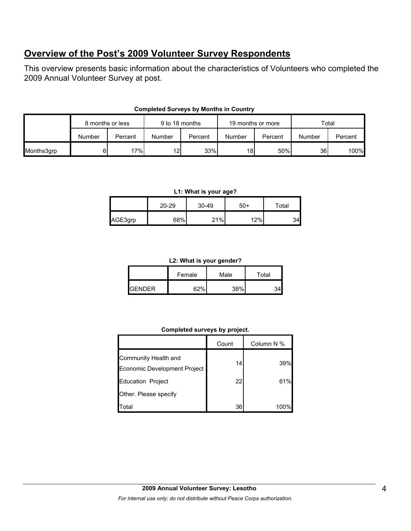## **Overview of the Post's 2009 Volunteer Survey Respondents**

This overview presents basic information about the characteristics of Volunteers who completed the 2009 Annual Volunteer Survey at post.

|            | 8 months or less |         |                 | 9 to 18 months |        | 19 months or more |        | Total   |  |
|------------|------------------|---------|-----------------|----------------|--------|-------------------|--------|---------|--|
|            | Number           | Percent | Number          | Percent        | Number | Percent           | Number | Percent |  |
| Months3grp |                  | 17%     | 12 <sub>1</sub> | 33%            | 18     | 50%               | 36     | 100%    |  |

#### **Completed Surveys by Months in Country**

#### **L1: What is your age?**

|         | $20 - 29$ | $30 - 49$ | -50 | Total |
|---------|-----------|-----------|-----|-------|
| AGE3grp | 68%       | 21%       | 12% |       |

#### **L2: What is your gender?**

|                | Male<br>Female |      | Total |  |
|----------------|----------------|------|-------|--|
| <b>IGENDER</b> | G70/           | 200/ |       |  |

#### **Completed surveys by project.**

|                                                      | Count | Column N % |
|------------------------------------------------------|-------|------------|
| Community Health and<br>Economic Development Project | 14    | 39%        |
| <b>Education Project</b>                             | 22    | 61%        |
| Other. Please specify                                |       |            |
| Total                                                | 36    |            |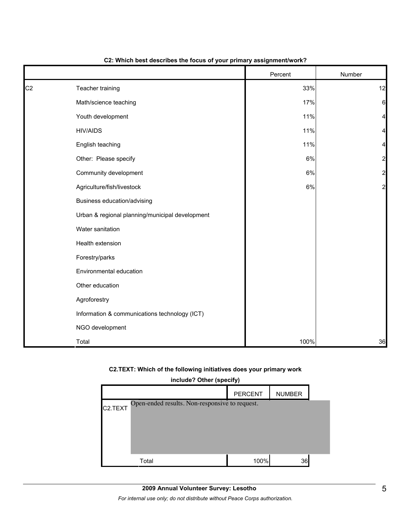|                |                                                 | Percent | Number         |
|----------------|-------------------------------------------------|---------|----------------|
| C <sub>2</sub> | Teacher training                                | 33%     | 12             |
|                | Math/science teaching                           | 17%     | 6              |
|                | Youth development                               | 11%     | 4              |
|                | <b>HIV/AIDS</b>                                 | 11%     | 4              |
|                | English teaching                                | 11%     | 4              |
|                | Other: Please specify                           | $6\%$   | $\overline{a}$ |
|                | Community development                           | $6\%$   | $\overline{a}$ |
|                | Agriculture/fish/livestock                      | $6\%$   | $\overline{a}$ |
|                | Business education/advising                     |         |                |
|                | Urban & regional planning/municipal development |         |                |
|                | Water sanitation                                |         |                |
|                | Health extension                                |         |                |
|                | Forestry/parks                                  |         |                |
|                | Environmental education                         |         |                |
|                | Other education                                 |         |                |
|                | Agroforestry                                    |         |                |
|                | Information & communications technology (ICT)   |         |                |
|                | NGO development                                 |         |                |
|                | Total                                           | 100%    | 36             |

#### **C2: Which best describes the focus of your primary assignment/work?**

#### **C2.TEXT: Which of the following initiatives does your primary work**

| include? Other (specify)                                               |      |    |  |  |  |  |  |
|------------------------------------------------------------------------|------|----|--|--|--|--|--|
| <b>PERCENT</b><br><b>NUMBER</b>                                        |      |    |  |  |  |  |  |
| Open-ended results. Non-responsive to request.<br>C <sub>2</sub> .TEXT |      |    |  |  |  |  |  |
|                                                                        |      |    |  |  |  |  |  |
|                                                                        |      |    |  |  |  |  |  |
|                                                                        |      |    |  |  |  |  |  |
| Total                                                                  | 100% | 36 |  |  |  |  |  |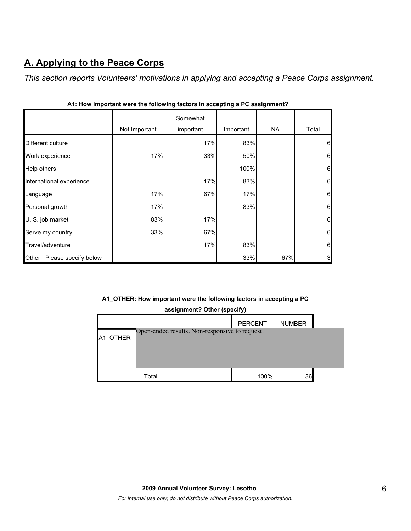# **A. Applying to the Peace Corps**

г

*This section reports Volunteers' motivations in applying and accepting a Peace Corps assignment.* 

|                             | Not Important | Somewhat<br>important | Important | <b>NA</b> | Total        |
|-----------------------------|---------------|-----------------------|-----------|-----------|--------------|
| Different culture           |               | 17%                   | 83%       |           | 6            |
| Work experience             | 17%           | 33%                   | 50%       |           | 6            |
| Help others                 |               |                       | 100%      |           | 6            |
| International experience    |               | 17%                   | 83%       |           | 6            |
| Language                    | 17%           | 67%                   | 17%       |           | 6            |
| Personal growth             | 17%           |                       | 83%       |           | 6            |
| U. S. job market            | 83%           | 17%                   |           |           | 6            |
| Serve my country            | 33%           | 67%                   |           |           | 6            |
| Travel/adventure            |               | 17%                   | 83%       |           | 6            |
| Other: Please specify below |               |                       | 33%       | 67%       | $\mathbf{3}$ |

| A1: How important were the following factors in accepting a PC assignment? |  |  |
|----------------------------------------------------------------------------|--|--|
|                                                                            |  |  |

### **A1\_OTHER: How important were the following factors in accepting a PC**

| assignment? Other (specify) |         |  |  |  |
|-----------------------------|---------|--|--|--|
|                             | PERCENT |  |  |  |

|          |                                                | PERCENT | <b>NUMBER</b> |  |
|----------|------------------------------------------------|---------|---------------|--|
| A1 OTHER | Open-ended results. Non-responsive to request. |         |               |  |
|          | Total                                          | 100%    | 36            |  |

h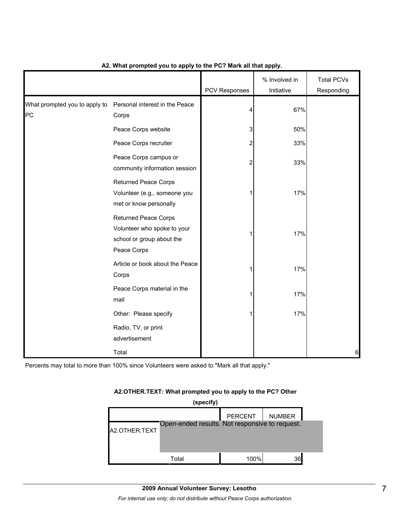|                                     |                                                                                                        | PCV Responses  | % Involved in<br>Initiative | <b>Total PCVs</b><br>Responding |
|-------------------------------------|--------------------------------------------------------------------------------------------------------|----------------|-----------------------------|---------------------------------|
| What prompted you to apply to<br>PC | Personal interest in the Peace<br>Corps                                                                | 4              | 67%                         |                                 |
|                                     | Peace Corps website                                                                                    | 3              | 50%                         |                                 |
|                                     | Peace Corps recruiter                                                                                  | 2              | 33%                         |                                 |
|                                     | Peace Corps campus or<br>community information session                                                 | $\overline{c}$ | 33%                         |                                 |
|                                     | <b>Returned Peace Corps</b><br>Volunteer (e.g., someone you<br>met or know personally                  | 1              | 17%                         |                                 |
|                                     | <b>Returned Peace Corps</b><br>Volunteer who spoke to your<br>school or group about the<br>Peace Corps |                | 17%                         |                                 |
|                                     | Article or book about the Peace<br>Corps                                                               | 1              | 17%                         |                                 |
|                                     | Peace Corps material in the<br>mail                                                                    |                | 17%                         |                                 |
|                                     | Other: Please specify                                                                                  |                | 17%                         |                                 |
|                                     | Radio, TV, or print<br>advertisement                                                                   |                |                             |                                 |
|                                     | Total                                                                                                  |                |                             | 6                               |

#### **A2. What prompted you to apply to the PC? Mark all that apply.**

Percents may total to more than 100% since Volunteers were asked to "Mark all that apply."

#### **A2.OTHER.TEXT: What prompted you to apply to the PC? Other**

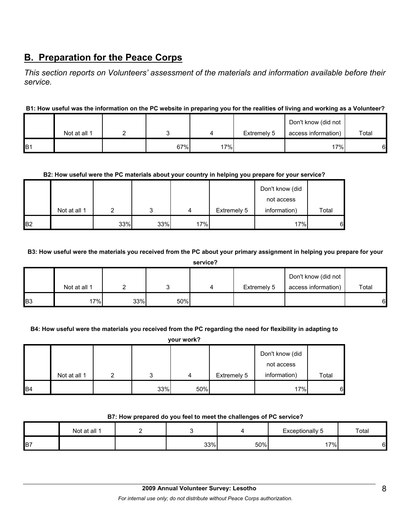## **B. Preparation for the Peace Corps**

*This section reports on Volunteers' assessment of the materials and information available before their service.* 

#### **B1: How useful was the information on the PC website in preparing you for the realities of living and working as a Volunteer?**

|                |              |     |     |             | Don't know (did not |       |
|----------------|--------------|-----|-----|-------------|---------------------|-------|
|                | Not at all 1 |     |     | Extremely 5 | access information) | Total |
| B <sub>1</sub> |              | 67% | 17% |             | 17%                 | 6     |

#### **B2: How useful were the PC materials about your country in helping you prepare for your service?**

|                |              |     |     |     |             | Don't know (did |       |
|----------------|--------------|-----|-----|-----|-------------|-----------------|-------|
|                |              |     |     |     |             | not access      |       |
|                | Not at all 1 |     | ົ   | 4   | Extremely 5 | information)    | Total |
| B <sub>2</sub> |              | 33% | 33% | 17% |             | 17%             | 6     |

#### **B3: How useful were the materials you received from the PC about your primary assignment in helping you prepare for your**

|                | service?     |     |     |  |             |                     |       |  |  |  |
|----------------|--------------|-----|-----|--|-------------|---------------------|-------|--|--|--|
|                |              |     |     |  |             | Don't know (did not |       |  |  |  |
|                | Not at all 1 |     |     |  | Extremely 5 | access information) | Total |  |  |  |
| B <sub>3</sub> | 17%          | 33% | 50% |  |             |                     | 61    |  |  |  |

#### **B4: How useful were the materials you received from the PC regarding the need for flexibility in adapting to**

|                | your work?   |   |     |     |             |                               |       |  |  |  |  |
|----------------|--------------|---|-----|-----|-------------|-------------------------------|-------|--|--|--|--|
|                |              |   |     |     |             | Don't know (did<br>not access |       |  |  |  |  |
|                | Not at all 1 | າ | 2   | 4   | Extremely 5 | information)                  | Total |  |  |  |  |
| B <sub>4</sub> |              |   | 33% | 50% |             | 17%                           | 6     |  |  |  |  |

#### **B7: How prepared do you feel to meet the challenges of PC service?**

|                | Not at all 1 |     |     | <b>Exceptionally 5</b> | Total |
|----------------|--------------|-----|-----|------------------------|-------|
| B <sub>7</sub> |              | 33% | 50% | $.7\%$ .               |       |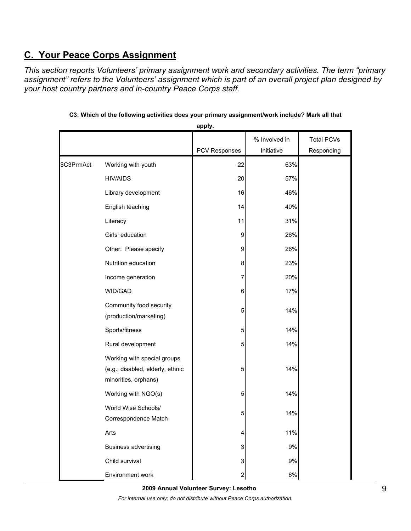## **C. Your Peace Corps Assignment**

*This section reports Volunteers' primary assignment work and secondary activities. The term "primary assignment" refers to the Volunteers' assignment which is part of an overall project plan designed by your host country partners and in-country Peace Corps staff.* 

|            |                                                                                         | apply.         |               |                   |
|------------|-----------------------------------------------------------------------------------------|----------------|---------------|-------------------|
|            |                                                                                         |                | % Involved in | <b>Total PCVs</b> |
|            |                                                                                         | PCV Responses  | Initiative    | Responding        |
| \$C3PrmAct | Working with youth                                                                      | 22             | 63%           |                   |
|            | <b>HIV/AIDS</b>                                                                         | 20             | 57%           |                   |
|            | Library development                                                                     | 16             | 46%           |                   |
|            | English teaching                                                                        | 14             | 40%           |                   |
|            | Literacy                                                                                | 11             | 31%           |                   |
|            | Girls' education                                                                        | 9              | 26%           |                   |
|            | Other: Please specify                                                                   | 9              | 26%           |                   |
|            | Nutrition education                                                                     | 8              | 23%           |                   |
|            | Income generation                                                                       | 7              | 20%           |                   |
|            | WID/GAD                                                                                 | 6              | 17%           |                   |
|            | Community food security<br>(production/marketing)                                       | 5              | 14%           |                   |
|            | Sports/fitness                                                                          | 5              | 14%           |                   |
|            | Rural development                                                                       | 5              | 14%           |                   |
|            | Working with special groups<br>(e.g., disabled, elderly, ethnic<br>minorities, orphans) | 5              | 14%           |                   |
|            | Working with NGO(s)                                                                     | 5              | 14%           |                   |
|            | World Wise Schools/<br>Correspondence Match                                             | 5              | 14%           |                   |
|            | Arts                                                                                    | 4              | 11%           |                   |
|            | <b>Business advertising</b>                                                             | 3              | 9%            |                   |
|            | Child survival                                                                          | 3              | 9%            |                   |
|            | Environment work                                                                        | $\overline{a}$ | $6\%$         |                   |

**C3: Which of the following activities does your primary assignment/work include? Mark all that** 

**2009 Annual Volunteer Survey: Lesotho** 

*For internal use only; do not distribute without Peace Corps authorization.*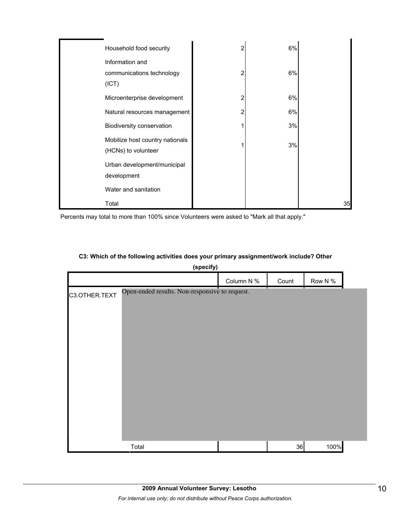| Household food security         | 2 | 6% |    |
|---------------------------------|---|----|----|
| Information and                 |   |    |    |
| communications technology       | 2 | 6% |    |
| (ICT)                           |   |    |    |
| Microenterprise development     | 2 | 6% |    |
| Natural resources management    | 2 | 6% |    |
| Biodiversity conservation       |   | 3% |    |
| Mobilize host country nationals |   | 3% |    |
| (HCNs) to volunteer             |   |    |    |
| Urban development/municipal     |   |    |    |
| development                     |   |    |    |
| Water and sanitation            |   |    |    |
| Total                           |   |    | 35 |

Percents may total to more than 100% since Volunteers were asked to "Mark all that apply."

### **C3: Which of the following activities does your primary assignment/work include? Other**

**(specify)**

|               |                                                | Column N % | Count | Row N % |  |
|---------------|------------------------------------------------|------------|-------|---------|--|
| C3.OTHER.TEXT | Open-ended results. Non-responsive to request. |            |       |         |  |
|               |                                                |            |       |         |  |
|               |                                                |            |       |         |  |
|               |                                                |            |       |         |  |
|               |                                                |            |       |         |  |
|               |                                                |            |       |         |  |
|               |                                                |            |       |         |  |
|               |                                                |            |       |         |  |
|               |                                                |            |       |         |  |
|               |                                                |            |       |         |  |
|               |                                                |            |       |         |  |
|               | Total                                          |            | 36    | 100%    |  |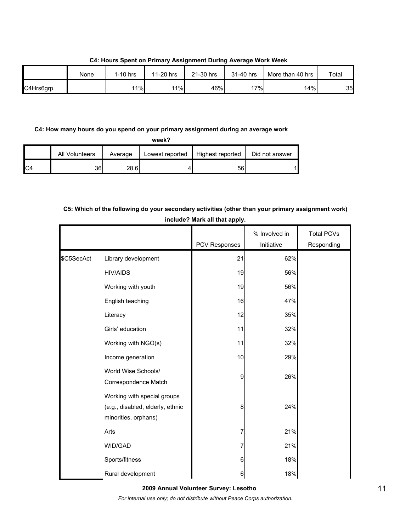None 1-10 hrs 11-20 hrs 21-30 hrs 31-40 hrs More than 40 hrs Total C4Hrs6grp | | 11%| 11%| 46%| 17%| 14%| 35

**C4: Hours Spent on Primary Assignment During Average Work Week**

#### **C4: How many hours do you spend on your primary assignment during an average work**

**week?**

|     | All Volunteers | Average | Lowest reported | Highest reported | Did not answer |
|-----|----------------|---------|-----------------|------------------|----------------|
| IC4 | 36             | 28.6    |                 | 56               |                |

## **C5: Which of the following do your secondary activities (other than your primary assignment work) include? Mark all that apply.**

|            |                                                                                         | <b>PCV Responses</b> | % Involved in<br>Initiative | <b>Total PCVs</b><br>Responding |
|------------|-----------------------------------------------------------------------------------------|----------------------|-----------------------------|---------------------------------|
| \$C5SecAct | Library development                                                                     | 21                   | 62%                         |                                 |
|            | <b>HIV/AIDS</b>                                                                         | 19                   | 56%                         |                                 |
|            | Working with youth                                                                      | 19                   | 56%                         |                                 |
|            | English teaching                                                                        | 16                   | 47%                         |                                 |
|            | Literacy                                                                                | 12                   | 35%                         |                                 |
|            | Girls' education                                                                        | 11                   | 32%                         |                                 |
|            | Working with NGO(s)                                                                     | 11                   | 32%                         |                                 |
|            | Income generation                                                                       | 10                   | 29%                         |                                 |
|            | World Wise Schools/<br>Correspondence Match                                             | 9                    | 26%                         |                                 |
|            | Working with special groups<br>(e.g., disabled, elderly, ethnic<br>minorities, orphans) | 8                    | 24%                         |                                 |
|            | Arts                                                                                    | 7                    | 21%                         |                                 |
|            | WID/GAD                                                                                 | 7                    | 21%                         |                                 |
|            | Sports/fitness                                                                          | 6                    | 18%                         |                                 |
|            | Rural development                                                                       | 6                    | 18%                         |                                 |

**2009 Annual Volunteer Survey: Lesotho** 

*For internal use only; do not distribute without Peace Corps authorization.*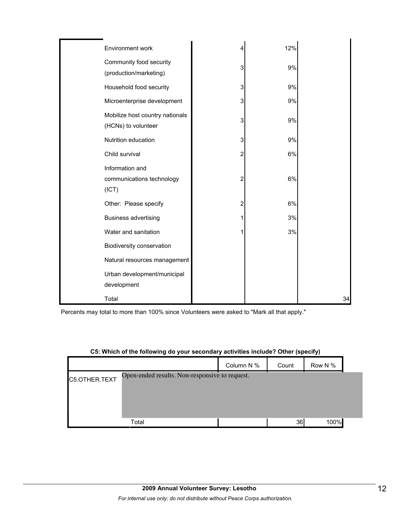| Environment work                                       |   | 12% |    |
|--------------------------------------------------------|---|-----|----|
| Community food security<br>(production/marketing)      | 3 | 9%  |    |
| Household food security                                | 3 | 9%  |    |
| Microenterprise development                            | 3 | 9%  |    |
| Mobilize host country nationals<br>(HCNs) to volunteer | 3 | 9%  |    |
| Nutrition education                                    | 3 | 9%  |    |
| Child survival                                         | 2 | 6%  |    |
| Information and<br>communications technology<br>(ICT)  | 2 | 6%  |    |
| Other: Please specify                                  | 2 | 6%  |    |
| <b>Business advertising</b>                            |   | 3%  |    |
| Water and sanitation                                   |   | 3%  |    |
| Biodiversity conservation                              |   |     |    |
| Natural resources management                           |   |     |    |
| Urban development/municipal<br>development             |   |     |    |
| Total                                                  |   |     | 34 |

Percents may total to more than 100% since Volunteers were asked to "Mark all that apply."

## **C5: Which of the following do your secondary activities include? Other (specify)**

|               |                                                | Column N % | Count | Row N % |  |
|---------------|------------------------------------------------|------------|-------|---------|--|
| C5.OTHER.TEXT | Open-ended results. Non-responsive to request. |            |       |         |  |
|               |                                                |            |       |         |  |
|               |                                                |            |       |         |  |
|               |                                                |            |       |         |  |
|               | Total                                          |            | 36    | 100%    |  |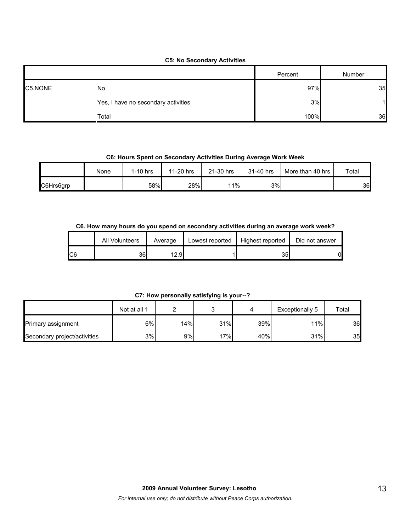#### **C5: No Secondary Activities**

|         |                                     | Percent | Number |
|---------|-------------------------------------|---------|--------|
| C5.NONE | No                                  | 97%     | 35     |
|         | Yes, I have no secondary activities | 3%      |        |
|         | Total                               | 100%    | 36     |

#### **C6: Hours Spent on Secondary Activities During Average Work Week**

|           | None | 1-10 hrs | 11-20 hrs | 21-30 hrs | 31-40 hrs | More than 40 hrs | Total |
|-----------|------|----------|-----------|-----------|-----------|------------------|-------|
| C6Hrs6grp |      | 58%      | 28%       | 11%       | 3%        |                  | 36    |

#### **C6. How many hours do you spend on secondary activities during an average work week?**

|     | All Volunteers | Average | Lowest reported | Highest reported | Did not answer |
|-----|----------------|---------|-----------------|------------------|----------------|
| IC6 | 36             | 12.9    |                 | 35               | 01             |

**C7: How personally satisfying is your--?**

|                              | Not at all 1 |     | ⌒   |     | Exceptionally 5 | Total |
|------------------------------|--------------|-----|-----|-----|-----------------|-------|
| <b>Primary assignment</b>    | 6%           | 14% | 31% | 39% | 11%             | 36    |
| Secondary project/activities | 3%           | 9%  | 17% | 40% | 31%             | 35    |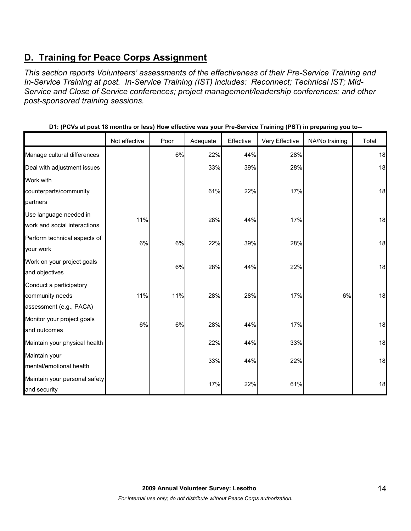## **D. Training for Peace Corps Assignment**

*This section reports Volunteers' assessments of the effectiveness of their Pre-Service Training and In-Service Training at post. In-Service Training (IST) includes: Reconnect; Technical IST; Mid-Service and Close of Service conferences; project management/leadership conferences; and other post-sponsored training sessions.* 

|                                                        | Not effective | Poor | Adequate | Effective | Very Effective | NA/No training | Total |
|--------------------------------------------------------|---------------|------|----------|-----------|----------------|----------------|-------|
| Manage cultural differences                            |               | 6%   | 22%      | 44%       | 28%            |                | 18    |
| Deal with adjustment issues                            |               |      | 33%      | 39%       | 28%            |                | 18    |
| Work with                                              |               |      |          |           |                |                |       |
| counterparts/community                                 |               |      | 61%      | 22%       | 17%            |                | 18    |
| partners                                               |               |      |          |           |                |                |       |
| Use language needed in<br>work and social interactions | 11%           |      | 28%      | 44%       | 17%            |                | 18    |
| Perform technical aspects of<br>your work              | 6%            | 6%   | 22%      | 39%       | 28%            |                | 18    |
| Work on your project goals                             |               |      |          |           |                |                |       |
| and objectives                                         |               | 6%   | 28%      | 44%       | 22%            |                | 18    |
| Conduct a participatory                                |               |      |          |           |                |                |       |
| community needs                                        | 11%           | 11%  | 28%      | 28%       | 17%            | 6%             | 18    |
| assessment (e.g., PACA)                                |               |      |          |           |                |                |       |
| Monitor your project goals                             | 6%            | 6%   | 28%      | 44%       | 17%            |                | 18    |
| and outcomes                                           |               |      |          |           |                |                |       |
| Maintain your physical health                          |               |      | 22%      | 44%       | 33%            |                | 18    |
| Maintain your                                          |               |      | 33%      | 44%       | 22%            |                | 18    |
| mental/emotional health                                |               |      |          |           |                |                |       |
| Maintain your personal safety                          |               |      | 17%      | 22%       | 61%            |                | 18    |
| and security                                           |               |      |          |           |                |                |       |

**D1: (PCVs at post 18 months or less) How effective was your Pre-Service Training (PST) in preparing you to--**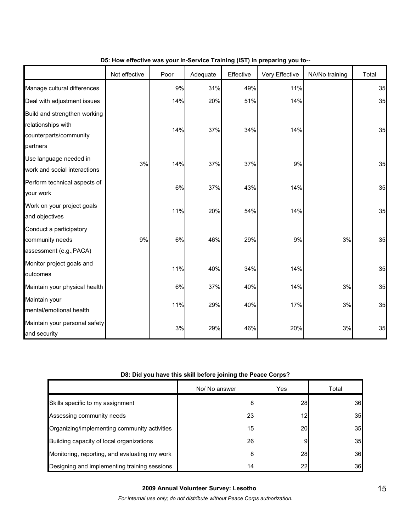|                                                                                          | Not effective | Poor | Adequate | Effective | Very Effective | NA/No training | Total |
|------------------------------------------------------------------------------------------|---------------|------|----------|-----------|----------------|----------------|-------|
| Manage cultural differences                                                              |               | 9%   | 31%      | 49%       | 11%            |                | 35    |
| Deal with adjustment issues                                                              |               | 14%  | 20%      | 51%       | 14%            |                | 35    |
| Build and strengthen working<br>relationships with<br>counterparts/community<br>partners |               | 14%  | 37%      | 34%       | 14%            |                | 35    |
| Use language needed in<br>work and social interactions                                   | 3%            | 14%  | 37%      | 37%       | 9%             |                | 35    |
| Perform technical aspects of<br>your work                                                |               | 6%   | 37%      | 43%       | 14%            |                | 35    |
| Work on your project goals<br>and objectives                                             |               | 11%  | 20%      | 54%       | 14%            |                | 35    |
| Conduct a participatory<br>community needs<br>assessment (e.g., PACA)                    | 9%            | 6%   | 46%      | 29%       | 9%             | 3%             | 35    |
| Monitor project goals and<br>outcomes                                                    |               | 11%  | 40%      | 34%       | 14%            |                | 35    |
| Maintain your physical health                                                            |               | 6%   | 37%      | 40%       | 14%            | $3%$           | 35    |
| Maintain your<br>mental/emotional health                                                 |               | 11%  | 29%      | 40%       | 17%            | 3%             | 35    |
| Maintain your personal safety<br>and security                                            |               | 3%   | 29%      | 46%       | 20%            | 3%             | 35    |

#### **D5: How effective was your In-Service Training (IST) in preparing you to--**

#### **D8: Did you have this skill before joining the Peace Corps?**

|                                               | No/ No answer | Yes       | Total |
|-----------------------------------------------|---------------|-----------|-------|
| Skills specific to my assignment              |               | <b>28</b> | 36    |
| Assessing community needs                     | 23            | 12        | 35    |
| Organizing/implementing community activities  | 15            | 20        | 35    |
| Building capacity of local organizations      | 26            |           | 35    |
| Monitoring, reporting, and evaluating my work |               | 28        | 36    |
| Designing and implementing training sessions  | 14            | 22        | 36    |

*For internal use only; do not distribute without Peace Corps authorization.*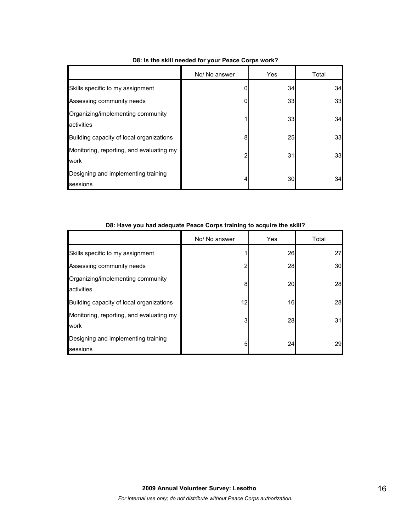|                                                  | No/ No answer | Yes | Total |
|--------------------------------------------------|---------------|-----|-------|
| Skills specific to my assignment                 |               | 34  | 34    |
| Assessing community needs                        | 0             | 33  | 33    |
| Organizing/implementing community<br>activities  |               | 33  | 34    |
| Building capacity of local organizations         | 8             | 25  | 33    |
| Monitoring, reporting, and evaluating my<br>work | 2             | 31  | 33    |
| Designing and implementing training<br>sessions  | 4             | 30  | 34    |

## **D8: Is the skill needed for your Peace Corps work?**

| Do. Have you had adequate reace corps training to acquire the skill? |               |     |       |  |  |  |  |  |
|----------------------------------------------------------------------|---------------|-----|-------|--|--|--|--|--|
|                                                                      | No/ No answer | Yes | Total |  |  |  |  |  |
| Skills specific to my assignment                                     |               | 26  | 27    |  |  |  |  |  |
| Assessing community needs                                            | 2             | 28  | 30    |  |  |  |  |  |
| Organizing/implementing community<br>activities                      | 8             | 20  | 28    |  |  |  |  |  |
| Building capacity of local organizations                             | 12            | 16  | 28    |  |  |  |  |  |
| Monitoring, reporting, and evaluating my<br>work                     | 3             | 28  | 31    |  |  |  |  |  |
| Designing and implementing training<br>sessions                      | 5             | 24  | 29    |  |  |  |  |  |

#### **D8: Have you had adequate Peace Corps training to acquire the skill?**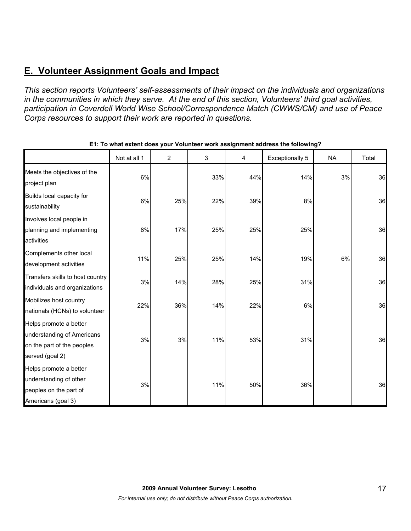## **E. Volunteer Assignment Goals and Impact**

*This section reports Volunteers' self-assessments of their impact on the individuals and organizations in the communities in which they serve. At the end of this section, Volunteers' third goal activities, participation in Coverdell World Wise School/Correspondence Match (CWWS/CM) and use of Peace Corps resources to support their work are reported in questions.* 

|                                                                                                       | Not at all 1 | $\overline{2}$ | 3   | 4   | Exceptionally 5 | <b>NA</b> | Total |
|-------------------------------------------------------------------------------------------------------|--------------|----------------|-----|-----|-----------------|-----------|-------|
| Meets the objectives of the<br>project plan                                                           | 6%           |                | 33% | 44% | 14%             | 3%        | 36    |
| Builds local capacity for<br>sustainability                                                           | 6%           | 25%            | 22% | 39% | 8%              |           | 36    |
| Involves local people in<br>planning and implementing<br>activities                                   | 8%           | 17%            | 25% | 25% | 25%             |           | 36    |
| Complements other local<br>development activities                                                     | 11%          | 25%            | 25% | 14% | 19%             | 6%        | 36    |
| Transfers skills to host country<br>individuals and organizations                                     | 3%           | 14%            | 28% | 25% | 31%             |           | 36    |
| Mobilizes host country<br>nationals (HCNs) to volunteer                                               | 22%          | 36%            | 14% | 22% | 6%              |           | 36    |
| Helps promote a better<br>understanding of Americans<br>on the part of the peoples<br>served (goal 2) | 3%           | 3%             | 11% | 53% | 31%             |           | 36    |
| Helps promote a better<br>understanding of other<br>peoples on the part of<br>Americans (goal 3)      | 3%           |                | 11% | 50% | 36%             |           | 36    |

#### **E1: To what extent does your Volunteer work assignment address the following?**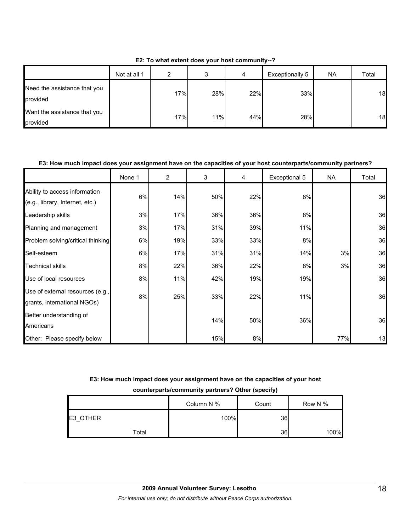| E2: To what extent does your host community--? |  |  |
|------------------------------------------------|--|--|
|------------------------------------------------|--|--|

|                                          | Not at all 1 | າ   | J   | 4   | Exceptionally 5 | <b>NA</b> | Total |
|------------------------------------------|--------------|-----|-----|-----|-----------------|-----------|-------|
| Need the assistance that you<br>provided |              | 17% | 28% | 22% | 33%             |           | 18    |
| Want the assistance that you<br>provided |              | 17% | 11% | 44% | 28%             |           | 18    |

#### **E3: How much impact does your assignment have on the capacities of your host counterparts/community partners?**

|                                                                  | None 1 | 2   | 3   | 4   | Exceptional 5 | <b>NA</b> | Total |
|------------------------------------------------------------------|--------|-----|-----|-----|---------------|-----------|-------|
| Ability to access information<br>(e.g., library, Internet, etc.) | 6%     | 14% | 50% | 22% | 8%            |           | 36    |
| Leadership skills                                                | 3%     | 17% | 36% | 36% | 8%            |           | 36    |
| Planning and management                                          | 3%     | 17% | 31% | 39% | 11%           |           | 36    |
| Problem solving/critical thinking                                | 6%     | 19% | 33% | 33% | 8%            |           | 36    |
| Self-esteem                                                      | 6%     | 17% | 31% | 31% | 14%           | 3%        | 36    |
| <b>Technical skills</b>                                          | 8%     | 22% | 36% | 22% | 8%            | 3%        | 36    |
| Use of local resources                                           | 8%     | 11% | 42% | 19% | 19%           |           | 36    |
| Use of external resources (e.g.,<br>grants, international NGOs)  | 8%     | 25% | 33% | 22% | 11%           |           | 36    |
| Better understanding of<br>Americans                             |        |     | 14% | 50% | 36%           |           | 36    |
| Other: Please specify below                                      |        |     | 15% | 8%  |               | 77%       | 13    |

## **E3: How much impact does your assignment have on the capacities of your host**

**counterparts/community partners? Other (specify)**

|          | Column N % | Count | Row N % |
|----------|------------|-------|---------|
| E3_OTHER | 100%       | 36    |         |
| Total    |            | 36    | 100%    |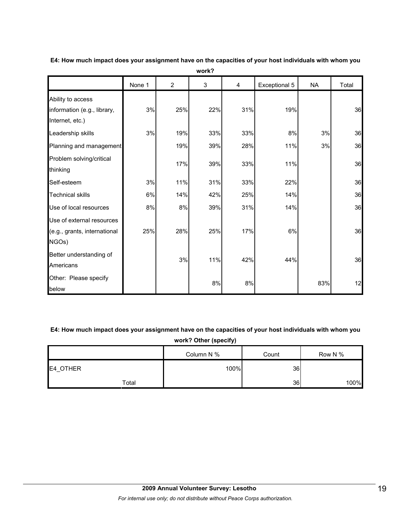|                                                                     | None 1 | $\overline{2}$ | 3   | $\overline{4}$ | Exceptional 5 | <b>NA</b> | Total |
|---------------------------------------------------------------------|--------|----------------|-----|----------------|---------------|-----------|-------|
| Ability to access<br>information (e.g., library,<br>Internet, etc.) | 3%     | 25%            | 22% | 31%            | 19%           |           | 36    |
| Leadership skills                                                   | 3%     | 19%            | 33% | 33%            | 8%            | 3%        | 36    |
| Planning and management                                             |        | 19%            | 39% | 28%            | 11%           | 3%        | 36    |
| Problem solving/critical<br>thinking                                |        | 17%            | 39% | 33%            | 11%           |           | 36    |
| Self-esteem                                                         | 3%     | 11%            | 31% | 33%            | 22%           |           | 36    |
| <b>Technical skills</b>                                             | 6%     | 14%            | 42% | 25%            | 14%           |           | 36    |
| Use of local resources                                              | 8%     | 8%             | 39% | 31%            | 14%           |           | 36    |
| Use of external resources<br>(e.g., grants, international<br>NGOs)  | 25%    | 28%            | 25% | 17%            | 6%            |           | 36    |
| Better understanding of<br>Americans                                |        | 3%             | 11% | 42%            | 44%           |           | 36    |
| Other: Please specify<br>below                                      |        |                | 8%  | 8%             |               | 83%       | 12    |

**E4: How much impact does your assignment have on the capacities of your host individuals with whom you work?**

**E4: How much impact does your assignment have on the capacities of your host individuals with whom you work? Other (specify)**

|          | Column N % | Count | Row N % |
|----------|------------|-------|---------|
| E4_OTHER | 100%       | 36    |         |
| Total    |            | 36    | 100%    |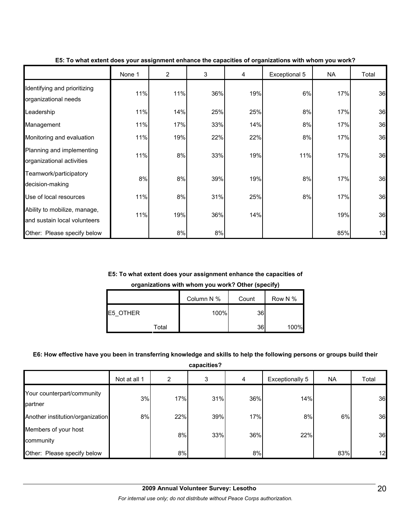|                                                              | None 1 | $\overline{2}$ | 3   | 4   | Exceptional 5 | <b>NA</b> | Total |
|--------------------------------------------------------------|--------|----------------|-----|-----|---------------|-----------|-------|
| Identifying and prioritizing<br>organizational needs         | 11%    | 11%            | 36% | 19% | 6%            | 17%       | 36    |
| Leadership                                                   | 11%    | 14%            | 25% | 25% | 8%            | 17%       | 36    |
| Management                                                   | 11%    | 17%            | 33% | 14% | 8%            | 17%       | 36    |
| Monitoring and evaluation                                    | 11%    | 19%            | 22% | 22% | 8%            | 17%       | 36    |
| Planning and implementing<br>organizational activities       | 11%    | 8%             | 33% | 19% | 11%           | 17%       | 36    |
| Teamwork/participatory<br>decision-making                    | 8%     | 8%             | 39% | 19% | 8%            | 17%       | 36    |
| Use of local resources                                       | 11%    | 8%             | 31% | 25% | 8%            | 17%       | 36    |
| Ability to mobilize, manage,<br>and sustain local volunteers | 11%    | 19%            | 36% | 14% |               | 19%       | 36    |
| Other: Please specify below                                  |        | 8%             | 8%  |     |               | 85%       | 13    |

**E5: To what extent does your assignment enhance the capacities of organizations with whom you work?**

#### **E5: To what extent does your assignment enhance the capacities of**

**organizations with whom you work? Other (specify)**

|                  | Column N % | Count | Row N % |
|------------------|------------|-------|---------|
| <b>IE5 OTHER</b> | 100%       | 36    |         |
| Total            |            | 36    | 100%    |

#### **E6: How effective have you been in transferring knowledge and skills to help the following persons or groups build their**

**capacities?**

|                                       | Not at all 1 | 2   | 3   | 4   | Exceptionally 5 | <b>NA</b> | Total |
|---------------------------------------|--------------|-----|-----|-----|-----------------|-----------|-------|
| Your counterpart/community<br>partner | 3%           | 17% | 31% | 36% | 14%             |           | 36    |
| Another institution/organization      | 8%           | 22% | 39% | 17% | 8%              | 6%        | 36    |
| Members of your host<br>community     |              | 8%  | 33% | 36% | 22%             |           | 36    |
| Other: Please specify below           |              | 8%  |     | 8%  |                 | 83%       | 12    |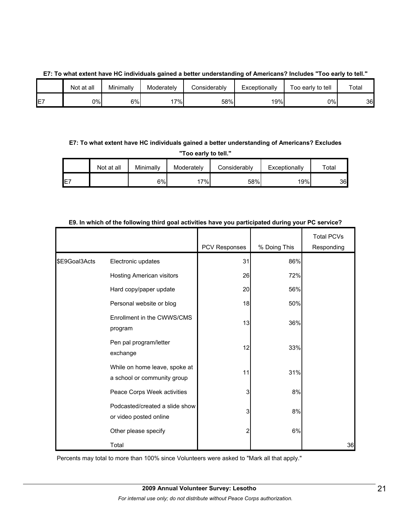#### **E7: To what extent have HC individuals gained a better understanding of Americans? Includes "Too early to tell."**

|         | Not at all | Minimally | Moderately | Considerabl∨ | Exceptionally | -<br>Too early to tell | Total |
|---------|------------|-----------|------------|--------------|---------------|------------------------|-------|
| F7<br>┕ | 0%l        | 6%        | '7%⊧       | 58%          | 19%           | 0%I                    | 36    |

## **E7: To what extent have HC individuals gained a better understanding of Americans? Excludes**

**"Too early to tell."**

|     | Not at all | Minimally | Moderately | Considerably | Exceptionally | $\tau$ otal |
|-----|------------|-----------|------------|--------------|---------------|-------------|
| IE7 |            | 6%        | 17%        | 58%          | 19%           | 36          |

|               |                                                              | <b>PCV Responses</b> | % Doing This | <b>Total PCVs</b><br>Responding |
|---------------|--------------------------------------------------------------|----------------------|--------------|---------------------------------|
| \$E9Goal3Acts | Electronic updates                                           | 31                   | 86%          |                                 |
|               | <b>Hosting American visitors</b>                             | 26                   | 72%          |                                 |
|               | Hard copy/paper update                                       | 20                   | 56%          |                                 |
|               | Personal website or blog                                     | 18                   | 50%          |                                 |
|               | Enrollment in the CWWS/CMS<br>program                        | 13                   | 36%          |                                 |
|               | Pen pal program/letter<br>exchange                           | 12                   | 33%          |                                 |
|               | While on home leave, spoke at<br>a school or community group | 11                   | 31%          |                                 |
|               | Peace Corps Week activities                                  | 3                    | 8%           |                                 |
|               | Podcasted/created a slide show<br>or video posted online     | 3                    | 8%           |                                 |
|               | Other please specify                                         | 2                    | 6%           |                                 |
|               | Total                                                        |                      |              | 36                              |

#### **E9. In which of the following third goal activities have you participated during your PC service?**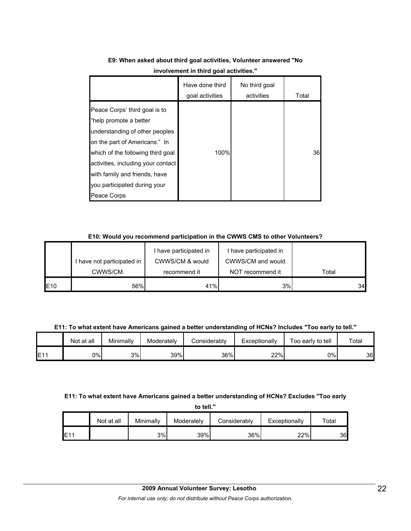|                                                                                                                                                                                                                                                                                       | Have done third<br>goal activities | No third goal<br>activities | Total |
|---------------------------------------------------------------------------------------------------------------------------------------------------------------------------------------------------------------------------------------------------------------------------------------|------------------------------------|-----------------------------|-------|
| Peace Corps' third goal is to<br>"help promote a better<br>understanding of other peoples<br>on the part of Americans." In<br>which of the following third goal<br>activities, including your contact<br>with family and friends, have<br>you participated during your<br>Peace Corps | 100%                               |                             | 36    |

## **E9: When asked about third goal activities, Volunteer answered "No involvement in third goal activities."**

#### **E10: Would you recommend participation in the CWWS CMS to other Volunteers?**

|     | I have not participated in | I have participated in<br>CWWS/CM & would | I have participated in<br>CWWS/CM and would |       |
|-----|----------------------------|-------------------------------------------|---------------------------------------------|-------|
|     | CWWS/CM.                   | recommend it                              | NOT recommend it                            | Total |
| E10 | 56%                        | 41%                                       | 3%                                          | 34    |

**E11: To what extent have Americans gained a better understanding of HCNs? Includes "Too early to tell."**

|                 | Not at all | Minimallv | Moderately | Considerably | Exceptionally | Too early to tell | Total |
|-----------------|------------|-----------|------------|--------------|---------------|-------------------|-------|
| E1 <sup>4</sup> | 9%         | 3%        | 39%        | 36%          | 22%           | 0%                | 36    |

#### **E11: To what extent have Americans gained a better understanding of HCNs? Excludes "Too early**

**to tell."**

|     | Not at all | Minimally | Moderatelv | Considerably | Exceptionally | $\tau$ otal |
|-----|------------|-----------|------------|--------------|---------------|-------------|
| E11 |            | 3%        | 39%        | 36%          | 22%           | 36          |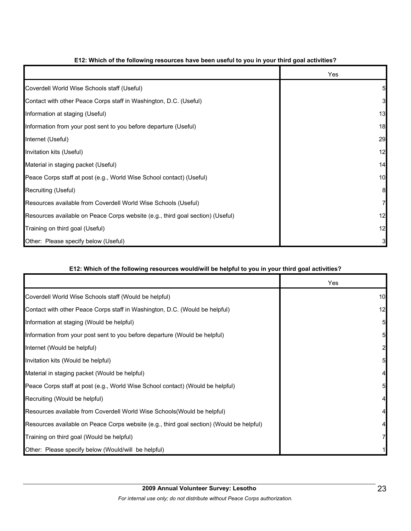|                                                                                | Yes |
|--------------------------------------------------------------------------------|-----|
| Coverdell World Wise Schools staff (Useful)                                    |     |
| Contact with other Peace Corps staff in Washington, D.C. (Useful)              | 3   |
| Information at staging (Useful)                                                | 13  |
| Information from your post sent to you before departure (Useful)               | 18  |
| Internet (Useful)                                                              | 29  |
| Invitation kits (Useful)                                                       | 12  |
| Material in staging packet (Useful)                                            | 14  |
| Peace Corps staff at post (e.g., World Wise School contact) (Useful)           | 10  |
| Recruiting (Useful)                                                            | 8   |
| Resources available from Coverdell World Wise Schools (Useful)                 |     |
| Resources available on Peace Corps website (e.g., third goal section) (Useful) | 12  |
| Training on third goal (Useful)                                                | 12  |
| Other: Please specify below (Useful)                                           |     |

#### **E12: Which of the following resources have been useful to you in your third goal activities?**

#### **E12: Which of the following resources would/will be helpful to you in your third goal activities?**

|                                                                                          | Yes |
|------------------------------------------------------------------------------------------|-----|
| Coverdell World Wise Schools staff (Would be helpful)                                    | 10  |
| Contact with other Peace Corps staff in Washington, D.C. (Would be helpful)              | 12  |
| Information at staging (Would be helpful)                                                |     |
| Information from your post sent to you before departure (Would be helpful)               |     |
| Internet (Would be helpful)                                                              |     |
| Invitation kits (Would be helpful)                                                       |     |
| Material in staging packet (Would be helpful)                                            |     |
| Peace Corps staff at post (e.g., World Wise School contact) (Would be helpful)           |     |
| Recruiting (Would be helpful)                                                            |     |
| Resources available from Coverdell World Wise Schools (Would be helpful)                 |     |
| Resources available on Peace Corps website (e.g., third goal section) (Would be helpful) |     |
| Training on third goal (Would be helpful)                                                |     |
| Other: Please specify below (Would/will be helpful)                                      |     |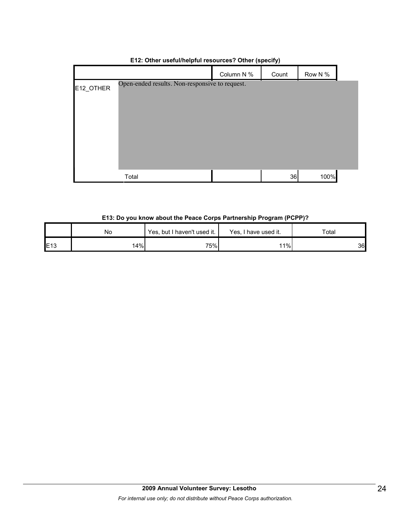|           |                                                | Column N % | Count | Row N % |  |
|-----------|------------------------------------------------|------------|-------|---------|--|
| E12_OTHER | Open-ended results. Non-responsive to request. |            |       |         |  |
|           |                                                |            |       |         |  |
|           |                                                |            |       |         |  |
|           |                                                |            |       |         |  |
|           |                                                |            |       |         |  |
|           | Total                                          |            | 36    | 100%    |  |

#### **E12: Other useful/helpful resources? Other (specify)**

#### **E13: Do you know about the Peace Corps Partnership Program (PCPP)?**

|     | No  | Yes, but I haven't used it. | Yes, I have used it. | Total |
|-----|-----|-----------------------------|----------------------|-------|
| E13 | 14% | 75%                         | 11%                  | 36    |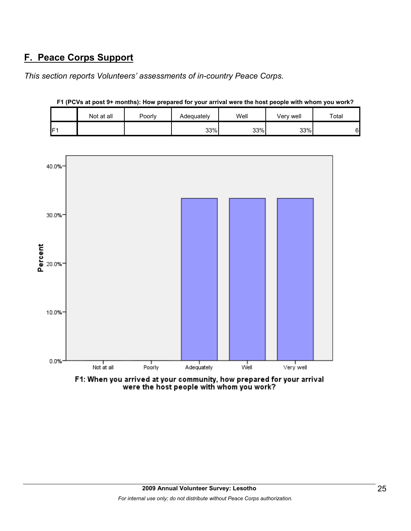## **F. Peace Corps Support**

*This section reports Volunteers' assessments of in-country Peace Corps.* 

|                 | Not at all | Poorly | Adequately | Well | Very well | Total |
|-----------------|------------|--------|------------|------|-----------|-------|
| IF <sub>1</sub> |            |        | 33%        | 33%  | 33%       | 6     |



**F1 (PCVs at post 9+ months): How prepared for your arrival were the host people with whom you work?**

F1: When you arrived at your community, how prepared for your arrival were the host people with whom you work?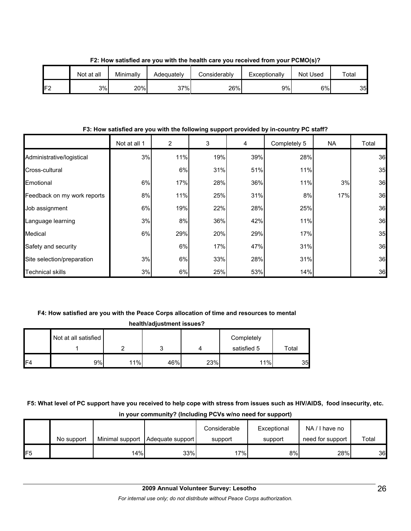|     | Not at all | Minimally | Adequatelv | Considerably | Exceptionally | Not Used | Total |
|-----|------------|-----------|------------|--------------|---------------|----------|-------|
| IF2 | 3%         | 20%       | 37%        | 26%          | 9%            | $6\%$    | 35    |

**F2: How satisfied are you with the health care you received from your PCMO(s)?**

**F3: How satisfied are you with the following support provided by in-country PC staff?**

|                             | Not at all 1 | 2   | 3   | 4   | Completely 5 | NA. | Total |
|-----------------------------|--------------|-----|-----|-----|--------------|-----|-------|
| Administrative/logistical   | 3%           | 11% | 19% | 39% | 28%          |     | 36    |
| Cross-cultural              |              | 6%  | 31% | 51% | 11%          |     | 35    |
| <b>Emotional</b>            | 6%           | 17% | 28% | 36% | 11%          | 3%  | 36    |
| Feedback on my work reports | 8%           | 11% | 25% | 31% | 8%           | 17% | 36    |
| Job assignment              | 6%           | 19% | 22% | 28% | 25%          |     | 36    |
| Language learning           | 3%           | 8%  | 36% | 42% | 11%          |     | 36    |
| Medical                     | 6%           | 29% | 20% | 29% | 17%          |     | 35    |
| Safety and security         |              | 6%  | 17% | 47% | 31%          |     | 36    |
| Site selection/preparation  | 3%           | 6%  | 33% | 28% | 31%          |     | 36    |
| <b>Technical skills</b>     | 3%           | 6%  | 25% | 53% | 14%          |     | 36    |

### **F4: How satisfied are you with the Peace Corps allocation of time and resources to mental**

|                | health/adjustment issues? |     |     |     |             |                 |  |  |  |  |  |
|----------------|---------------------------|-----|-----|-----|-------------|-----------------|--|--|--|--|--|
|                | Not at all satisfied      |     |     |     | Completely  |                 |  |  |  |  |  |
|                |                           |     |     |     | satisfied 5 | Total           |  |  |  |  |  |
| F <sub>4</sub> | 9%                        | 11% | 46% | 23% | 11%         | 35 <sub>l</sub> |  |  |  |  |  |

## **F5: What level of PC support have you received to help cope with stress from issues such as HIV/AIDS, food insecurity, etc. in your community? (Including PCVs w/no need for support)**

|                 | No support |     | Minimal support   Adequate support | Considerable<br>support | Exceptional<br>support | NA/I have no<br>need for support | Total |
|-----------------|------------|-----|------------------------------------|-------------------------|------------------------|----------------------------------|-------|
| IF <sub>5</sub> |            | 14% | 33%                                | 17%                     | 8%I                    | 28%                              | 36    |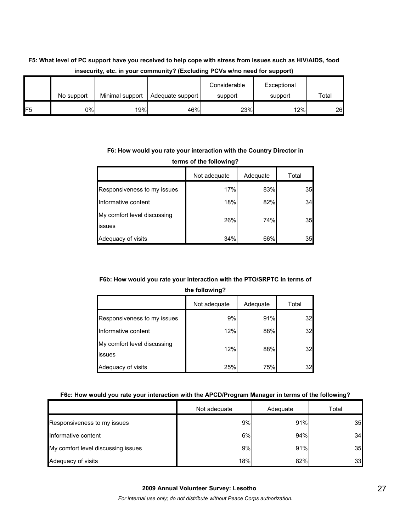|                |            |                 |                  | . .                     |                        |       |
|----------------|------------|-----------------|------------------|-------------------------|------------------------|-------|
|                | No support | Minimal support | Adequate support | Considerable<br>support | Exceptional<br>support | Total |
| F <sub>5</sub> | 0%         | 19%             | 46%              | 23%                     | $12\%$                 | 26    |

## **F5: What level of PC support have you received to help cope with stress from issues such as HIV/AIDS, food insecurity, etc. in your community? (Excluding PCVs w/no need for support)**

#### **F6: How would you rate your interaction with the Country Director in terms of the following?**

|                                       | Not adequate | Adequate | Total |  |  |
|---------------------------------------|--------------|----------|-------|--|--|
| Responsiveness to my issues           | 17%          | 83%      | 35    |  |  |
| Informative content                   | 18%          | 82%      | 34    |  |  |
| My comfort level discussing<br>issues | 26%          | 74%      | 35    |  |  |
| Adequacy of visits                    | 34%          | 66%      | 35    |  |  |

### **F6b: How would you rate your interaction with the PTO/SRPTC in terms of**

|  | the following? |
|--|----------------|
|  |                |

|                                       | Not adequate | Adequate | Total |
|---------------------------------------|--------------|----------|-------|
| Responsiveness to my issues           | 9%           | 91%      | 32    |
| Informative content                   | 12%          | 88%      | 32    |
| My comfort level discussing<br>issues | 12%          | 88%      | 32    |
| Adequacy of visits                    | 25%          | 75%      | 32    |

### **F6c: How would you rate your interaction with the APCD/Program Manager in terms of the following?**

|                                    | Not adequate | Adequate | Total |
|------------------------------------|--------------|----------|-------|
| Responsiveness to my issues        | 9%           | 91%      | 35    |
| Informative content                | 6%           | 94%      | 34    |
| My comfort level discussing issues | 9%           | 91%      | 35    |
| Adequacy of visits                 | 18%          | 82%      | 33    |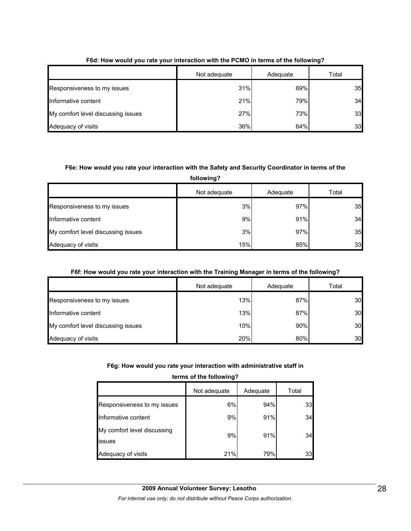|                                    | Not adequate | Adequate | Total |
|------------------------------------|--------------|----------|-------|
| Responsiveness to my issues        | 31%          | 69%      | 35    |
| Informative content                | 21%          | 79%      | 34    |
| My comfort level discussing issues | 27%          | 73%      | 33    |
| Adequacy of visits                 | 36%          | 64%      | 33    |

#### **F6d: How would you rate your interaction with the PCMO in terms of the following?**

#### **F6e: How would you rate your interaction with the Safety and Security Coordinator in terms of the**

**following?**

|                                    | Not adequate | Adequate | Total |
|------------------------------------|--------------|----------|-------|
| Responsiveness to my issues        | 3%           | 97%      | 35    |
| Informative content                | 9%           | 91%      | 34    |
| My comfort level discussing issues | 3%           | 97%      | 35    |
| Adequacy of visits                 | 15%          | 85%      | 33    |

#### **F6f: How would you rate your interaction with the Training Manager in terms of the following?**

|                                    | Not adequate | Adequate | Total |
|------------------------------------|--------------|----------|-------|
| Responsiveness to my issues        | 13%          | 87%      | 30    |
| Informative content                | 13%          | 87%      | 30    |
| My comfort level discussing issues | 10%          | 90%      | 30    |
| Adequacy of visits                 | 20%          | 80%      | 30    |

#### **F6g: How would you rate your interaction with administrative staff in**

#### **terms of the following?**

|                                       | Not adequate | Adequate | Total |
|---------------------------------------|--------------|----------|-------|
| Responsiveness to my issues           | 6%           | 94%      | 33    |
| Informative content                   | 9%           | 91%      | 34    |
| My comfort level discussing<br>issues | 9%           | 91%      | 34    |
| Adequacy of visits                    | 21%          | 79%      | 33    |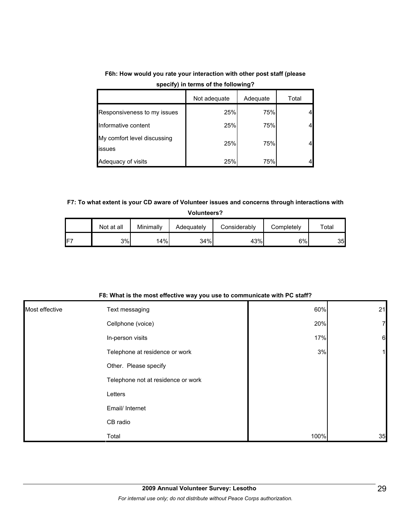|                                       | Not adequate | Adequate | Total |
|---------------------------------------|--------------|----------|-------|
| Responsiveness to my issues           | 25%          | 75%      |       |
| Informative content                   | 25%          | 75%      |       |
| My comfort level discussing<br>issues | 25%          | 75%      |       |
| Adequacy of visits                    | 25%          | 75%      |       |

**F6h: How would you rate your interaction with other post staff (please specify) in terms of the following?**

#### **F7: To what extent is your CD aware of Volunteer issues and concerns through interactions with**

**Volunteers?**

|                 | Not at all | Minimally | Adequately | Considerabl∨ | Completely | $\tau$ otal |
|-----------------|------------|-----------|------------|--------------|------------|-------------|
| IF <sub>7</sub> | 3%         | 14%       | 34%        | 43%          | 6%         | 35          |

| F8: What is the most effective way you use to communicate with PC staff? |  |
|--------------------------------------------------------------------------|--|
|--------------------------------------------------------------------------|--|

| Most effective | Text messaging                     | 60%  | 21              |
|----------------|------------------------------------|------|-----------------|
|                | Cellphone (voice)                  | 20%  | 7               |
|                | In-person visits                   | 17%  | $6\phantom{.}6$ |
|                | Telephone at residence or work     | 3%   |                 |
|                | Other. Please specify              |      |                 |
|                | Telephone not at residence or work |      |                 |
|                | Letters                            |      |                 |
|                | Email/ Internet                    |      |                 |
|                | CB radio                           |      |                 |
|                | Total                              | 100% | 35              |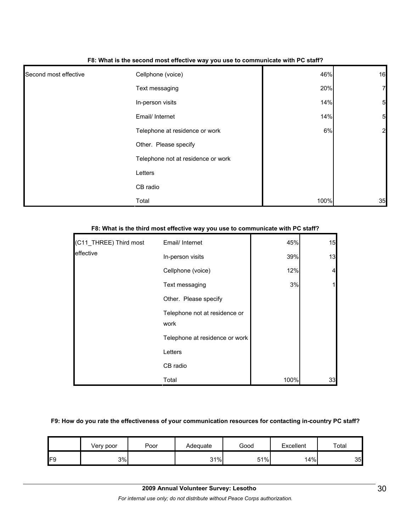|                       | . .                                |      |                 |
|-----------------------|------------------------------------|------|-----------------|
| Second most effective | Cellphone (voice)                  | 46%  | 16              |
|                       | Text messaging                     | 20%  | $\overline{7}$  |
|                       | In-person visits                   | 14%  | $5\overline{a}$ |
|                       | Email/ Internet                    | 14%  | $5\overline{a}$ |
|                       | Telephone at residence or work     | 6%   | 2               |
|                       | Other. Please specify              |      |                 |
|                       | Telephone not at residence or work |      |                 |
|                       | Letters                            |      |                 |
|                       | CB radio                           |      |                 |
|                       | Total                              | 100% | 35              |

#### **F8: What is the second most effective way you use to communicate with PC staff?**

| (C11_THREE) Third most | Email/ Internet                       | 45%  | 15 |
|------------------------|---------------------------------------|------|----|
| effective              | In-person visits                      | 39%  | 13 |
|                        | Cellphone (voice)                     | 12%  | 4  |
|                        | Text messaging                        | 3%   |    |
|                        | Other. Please specify                 |      |    |
|                        | Telephone not at residence or<br>work |      |    |
|                        | Telephone at residence or work        |      |    |
|                        | Letters                               |      |    |
|                        | CB radio                              |      |    |
|                        | Total                                 | 100% | 33 |

#### **F8: What is the third most effective way you use to communicate with PC staff?**

#### **F9: How do you rate the effectiveness of your communication resources for contacting in-country PC staff?**

|     | Very poor | Poor | Adequate | Good | Excellent | Total |
|-----|-----------|------|----------|------|-----------|-------|
| IF9 | 3%        |      | 31%      | 51%  | 14%       | 35    |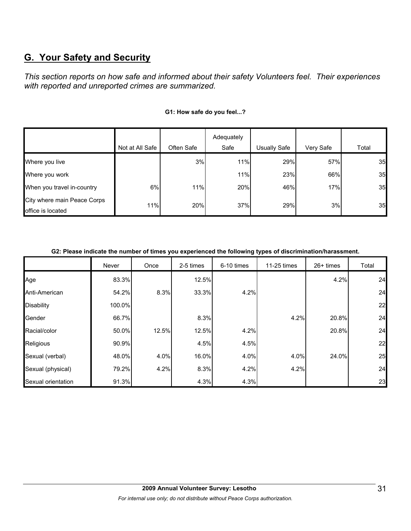## **G. Your Safety and Security**

*This section reports on how safe and informed about their safety Volunteers feel. Their experiences with reported and unreported crimes are summarized.* 

|                             |                 |            | Adequately |              |           |       |
|-----------------------------|-----------------|------------|------------|--------------|-----------|-------|
|                             | Not at All Safe | Often Safe | Safe       | Usually Safe | Very Safe | Total |
| Where you live              |                 | 3%         | 11%        | 29%          | 57%       | 35    |
| Where you work              |                 |            | 11%        | 23%          | 66%       | 35    |
| When you travel in-country  | 6%              | 11%        | 20%        | 46%          | 17%       | 35    |
| City where main Peace Corps | 11%             | 20%        | 37%        | 29%          | 3%        | 35    |
| office is located           |                 |            |            |              |           |       |

#### **G1: How safe do you feel...?**

**G2: Please indicate the number of times you experienced the following types of discrimination/harassment.**

|                    | Never  | Once  | 2-5 times | 6-10 times | 11-25 times | 26+ times | Total |
|--------------------|--------|-------|-----------|------------|-------------|-----------|-------|
| Age                | 83.3%  |       | 12.5%     |            |             | 4.2%      | 24    |
| Anti-American      | 54.2%  | 8.3%  | 33.3%     | 4.2%       |             |           | 24    |
| <b>Disability</b>  | 100.0% |       |           |            |             |           | 22    |
| Gender             | 66.7%  |       | 8.3%      |            | 4.2%        | 20.8%     | 24    |
| Racial/color       | 50.0%  | 12.5% | 12.5%     | 4.2%       |             | 20.8%     | 24    |
| Religious          | 90.9%  |       | 4.5%      | 4.5%       |             |           | 22    |
| Sexual (verbal)    | 48.0%  | 4.0%  | 16.0%     | 4.0%       | 4.0%        | 24.0%     | 25    |
| Sexual (physical)  | 79.2%  | 4.2%  | 8.3%      | 4.2%       | 4.2%        |           | 24    |
| Sexual orientation | 91.3%  |       | 4.3%      | 4.3%       |             |           | 23    |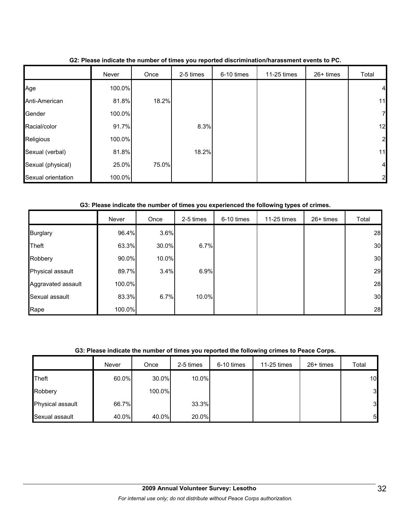|                    | Never  | Once  | 2-5 times | 6-10 times | 11-25 times | 26+ times | Total          |
|--------------------|--------|-------|-----------|------------|-------------|-----------|----------------|
| Age                | 100.0% |       |           |            |             |           | $\overline{a}$ |
| Anti-American      | 81.8%  | 18.2% |           |            |             |           | 11             |
| Gender             | 100.0% |       |           |            |             |           | 71             |
| Racial/color       | 91.7%  |       | 8.3%      |            |             |           | 12             |
| Religious          | 100.0% |       |           |            |             |           | 2              |
| Sexual (verbal)    | 81.8%  |       | 18.2%     |            |             |           | 11             |
| Sexual (physical)  | 25.0%  | 75.0% |           |            |             |           | $\overline{a}$ |
| Sexual orientation | 100.0% |       |           |            |             |           | $\overline{2}$ |

**G2: Please indicate the number of times you reported discrimination/harassment events to PC.**

#### **G3: Please indicate the number of times you experienced the following types of crimes.**

|                    | Never  | Once  | 2-5 times | 6-10 times | 11-25 times | 26+ times | Total |
|--------------------|--------|-------|-----------|------------|-------------|-----------|-------|
| <b>Burglary</b>    | 96.4%  | 3.6%  |           |            |             |           | 28    |
| <b>Theft</b>       | 63.3%  | 30.0% | 6.7%      |            |             |           | 30    |
| Robbery            | 90.0%  | 10.0% |           |            |             |           | 30    |
| Physical assault   | 89.7%  | 3.4%  | 6.9%      |            |             |           | 29    |
| Aggravated assault | 100.0% |       |           |            |             |           | 28    |
| Sexual assault     | 83.3%  | 6.7%  | 10.0%     |            |             |           | 30    |
| Rape               | 100.0% |       |           |            |             |           | 28    |

#### **G3: Please indicate the number of times you reported the following crimes to Peace Corps.**

|                  | Never | Once   | 2-5 times | 6-10 times | 11-25 times | $26+$ times | Total          |
|------------------|-------|--------|-----------|------------|-------------|-------------|----------------|
| <b>Theft</b>     | 60.0% | 30.0%  | 10.0%     |            |             |             | 10             |
| Robbery          |       | 100.0% |           |            |             |             | 3 <sub>l</sub> |
| Physical assault | 66.7% |        | 33.3%     |            |             |             | 3 <sub>l</sub> |
| Sexual assault   | 40.0% | 40.0%  | 20.0%     |            |             |             | -5I            |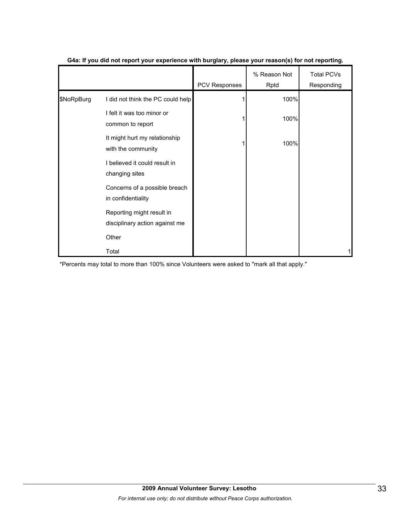|            |                                                             | PCV Responses | % Reason Not<br>Rptd | <b>Total PCVs</b><br>Responding |
|------------|-------------------------------------------------------------|---------------|----------------------|---------------------------------|
| \$NoRpBurg | I did not think the PC could help                           |               | 100%                 |                                 |
|            | I felt it was too minor or<br>common to report              |               | 100%                 |                                 |
|            | It might hurt my relationship<br>with the community         |               | 100%                 |                                 |
|            | I believed it could result in<br>changing sites             |               |                      |                                 |
|            | Concerns of a possible breach<br>in confidentiality         |               |                      |                                 |
|            | Reporting might result in<br>disciplinary action against me |               |                      |                                 |
|            | Other                                                       |               |                      |                                 |
|            | Total                                                       |               |                      |                                 |

#### **G4a: If you did not report your experience with burglary, please your reason(s) for not reporting.**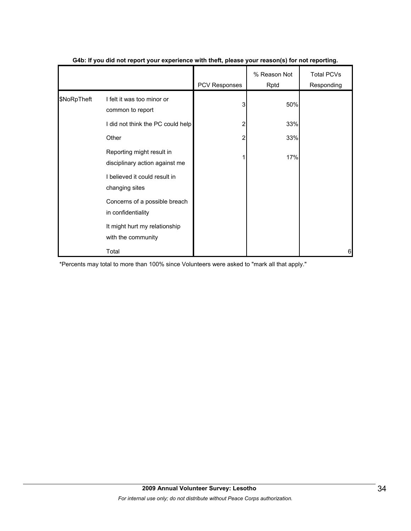|             |                                                             | <b>PCV Responses</b> | % Reason Not<br>Rptd | <b>Total PCVs</b><br>Responding |
|-------------|-------------------------------------------------------------|----------------------|----------------------|---------------------------------|
| \$NoRpTheft | I felt it was too minor or<br>common to report              | 3                    | 50%                  |                                 |
|             | I did not think the PC could help                           | 2                    | 33%                  |                                 |
|             | Other                                                       | 2                    | 33%                  |                                 |
|             | Reporting might result in<br>disciplinary action against me |                      | 17%                  |                                 |
|             | I believed it could result in<br>changing sites             |                      |                      |                                 |
|             | Concerns of a possible breach<br>in confidentiality         |                      |                      |                                 |
|             | It might hurt my relationship<br>with the community         |                      |                      |                                 |
|             | Total                                                       |                      |                      | 6                               |

#### **G4b: If you did not report your experience with theft, please your reason(s) for not reporting.**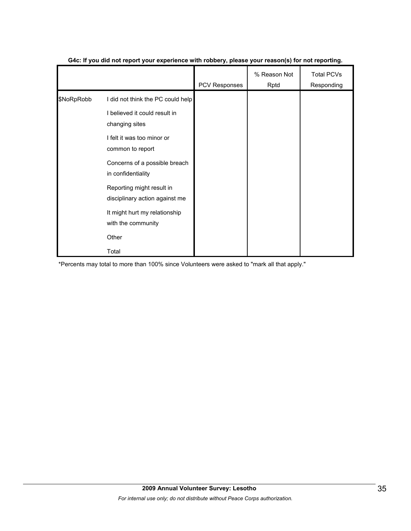|            |                                                                                                                                                                         | PCV Responses | % Reason Not<br>Rptd | <b>Total PCVs</b><br>Responding |
|------------|-------------------------------------------------------------------------------------------------------------------------------------------------------------------------|---------------|----------------------|---------------------------------|
| \$NoRpRobb | I did not think the PC could help<br>I believed it could result in<br>changing sites<br>I felt it was too minor or<br>common to report<br>Concerns of a possible breach |               |                      |                                 |
|            | in confidentiality<br>Reporting might result in<br>disciplinary action against me                                                                                       |               |                      |                                 |
|            | It might hurt my relationship<br>with the community                                                                                                                     |               |                      |                                 |
|            | Other                                                                                                                                                                   |               |                      |                                 |
|            | Total                                                                                                                                                                   |               |                      |                                 |

#### **G4c: If you did not report your experience with robbery, please your reason(s) for not reporting.**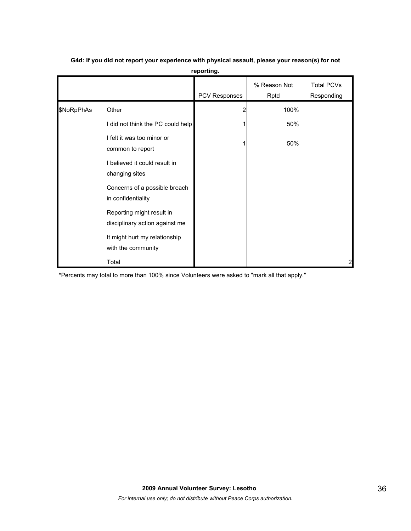|            |                                                             | <b>PCV Responses</b> | % Reason Not<br>Rptd | <b>Total PCVs</b><br>Responding |
|------------|-------------------------------------------------------------|----------------------|----------------------|---------------------------------|
| \$NoRpPhAs | Other                                                       |                      | 100%                 |                                 |
|            | I did not think the PC could help                           |                      | 50%                  |                                 |
|            | I felt it was too minor or<br>common to report              |                      | 50%                  |                                 |
|            | I believed it could result in<br>changing sites             |                      |                      |                                 |
|            | Concerns of a possible breach<br>in confidentiality         |                      |                      |                                 |
|            | Reporting might result in<br>disciplinary action against me |                      |                      |                                 |
|            | It might hurt my relationship<br>with the community         |                      |                      |                                 |
|            | Total                                                       |                      |                      | $\overline{c}$                  |

### **G4d: If you did not report your experience with physical assault, please your reason(s) for not reporting.**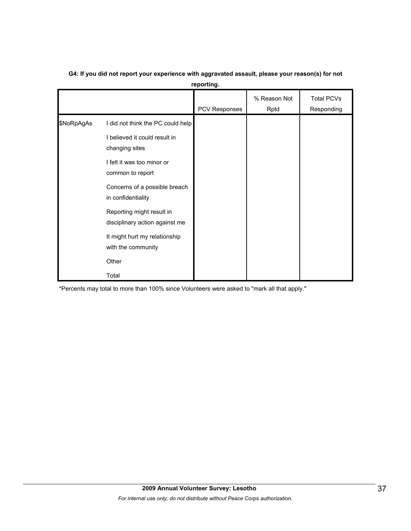|            |                                                                                                                                                                                                                                                                                                                              | PCV Responses | % Reason Not<br>Rptd | <b>Total PCVs</b><br>Responding |
|------------|------------------------------------------------------------------------------------------------------------------------------------------------------------------------------------------------------------------------------------------------------------------------------------------------------------------------------|---------------|----------------------|---------------------------------|
| \$NoRpAgAs | I did not think the PC could help<br>I believed it could result in<br>changing sites<br>I felt it was too minor or<br>common to report<br>Concerns of a possible breach<br>in confidentiality<br>Reporting might result in<br>disciplinary action against me<br>It might hurt my relationship<br>with the community<br>Other |               |                      |                                 |
|            | Total                                                                                                                                                                                                                                                                                                                        |               |                      |                                 |

### **G4: If you did not report your experience with aggravated assault, please your reason(s) for not reporting.**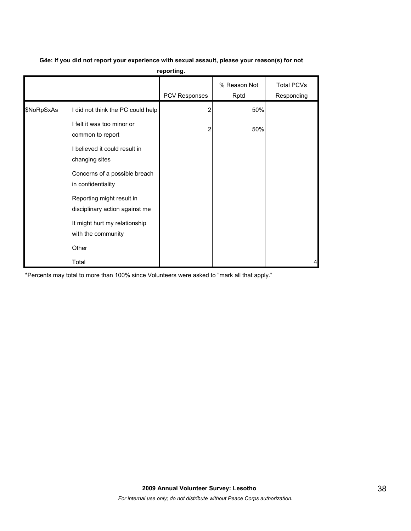| G4e: If you did not report your experience with sexual assault, please your reason(s) for not |  |
|-----------------------------------------------------------------------------------------------|--|
|-----------------------------------------------------------------------------------------------|--|

**reporting.**

|            |                                                             | <b>PCV Responses</b> | % Reason Not<br>Rptd | <b>Total PCVs</b><br>Responding |
|------------|-------------------------------------------------------------|----------------------|----------------------|---------------------------------|
| \$NoRpSxAs | I did not think the PC could help                           | 2                    | 50%                  |                                 |
|            | I felt it was too minor or<br>common to report              |                      | 50%                  |                                 |
|            | I believed it could result in<br>changing sites             |                      |                      |                                 |
|            | Concerns of a possible breach<br>in confidentiality         |                      |                      |                                 |
|            | Reporting might result in<br>disciplinary action against me |                      |                      |                                 |
|            | It might hurt my relationship<br>with the community         |                      |                      |                                 |
|            | Other                                                       |                      |                      |                                 |
|            | Total                                                       |                      |                      | 4                               |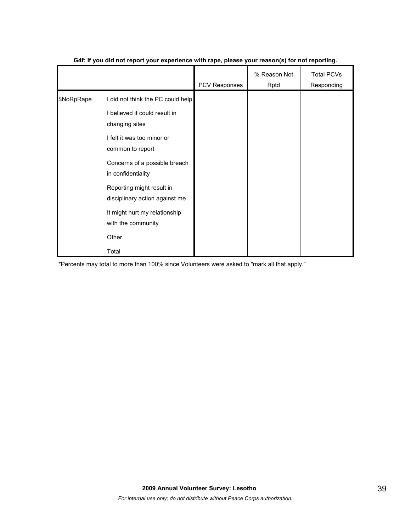|            |                                                                                                                                        | PCV Responses | % Reason Not<br>Rptd | <b>Total PCVs</b><br>Responding |
|------------|----------------------------------------------------------------------------------------------------------------------------------------|---------------|----------------------|---------------------------------|
| \$NoRpRape | I did not think the PC could help<br>I believed it could result in<br>changing sites<br>I felt it was too minor or<br>common to report |               |                      |                                 |
|            | Concerns of a possible breach<br>in confidentiality                                                                                    |               |                      |                                 |
|            | Reporting might result in<br>disciplinary action against me                                                                            |               |                      |                                 |
|            | It might hurt my relationship<br>with the community                                                                                    |               |                      |                                 |
|            | Other                                                                                                                                  |               |                      |                                 |
|            | Total                                                                                                                                  |               |                      |                                 |

#### **G4f: If you did not report your experience with rape, please your reason(s) for not reporting.**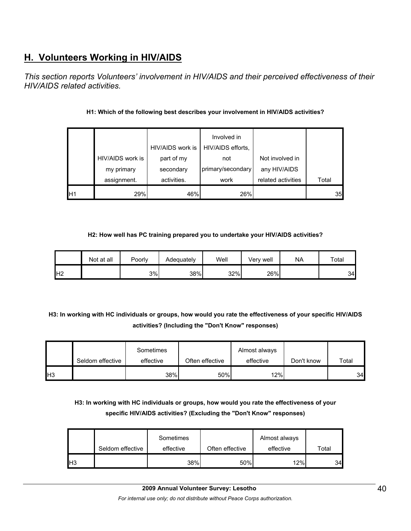## **H. Volunteers Working in HIV/AIDS**

*This section reports Volunteers' involvement in HIV/AIDS and their perceived effectiveness of their HIV/AIDS related activities.* 

|    |                  |                  | Involved in       |                    |       |
|----|------------------|------------------|-------------------|--------------------|-------|
|    |                  | HIV/AIDS work is | HIV/AIDS efforts, |                    |       |
|    | HIV/AIDS work is | part of my       | not               | Not involved in    |       |
|    | my primary       | secondary        | primary/secondary | any HIV/AIDS       |       |
|    | assignment.      | activities.      | work              | related activities | Total |
| H1 | 29%              | 46%              | 26%               |                    | 35    |

#### **H1: Which of the following best describes your involvement in HIV/AIDS activities?**

#### **H2: How well has PC training prepared you to undertake your HIV/AIDS activities?**

|                 | Not at all | Poorly | Adequately | Well | Verv well | NA | Total |
|-----------------|------------|--------|------------|------|-----------|----|-------|
| IH <sub>2</sub> |            | 3%     | 38%        | 32%  | 26%       |    | 34    |

**H3: In working with HC individuals or groups, how would you rate the effectiveness of your specific HIV/AIDS activities? (Including the "Don't Know" responses)** 

|           | Seldom effective | Sometimes<br>effective | Often effective | Almost always<br>effective | Don't know | Total |
|-----------|------------------|------------------------|-----------------|----------------------------|------------|-------|
| <b>H3</b> |                  | 38%                    | 50%             | 12%                        |            | 34    |

## **H3: In working with HC individuals or groups, how would you rate the effectiveness of your specific HIV/AIDS activities? (Excluding the "Don't Know" responses)**

|    | Seldom effective | Sometimes<br>effective | Often effective | Almost always<br>effective | Total |
|----|------------------|------------------------|-----------------|----------------------------|-------|
| H3 |                  | 38%                    | 50%             | 12%                        | 34    |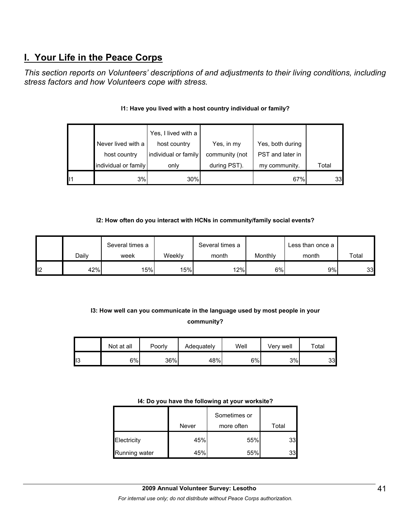## **I. Your Life in the Peace Corps**

*This section reports on Volunteers' descriptions of and adjustments to their living conditions, including stress factors and how Volunteers cope with stress.* 

|    | host country<br>individual or family | individual or family<br>only | community (not<br>during PST). | PST and later in<br>my community. | Total |
|----|--------------------------------------|------------------------------|--------------------------------|-----------------------------------|-------|
| 11 | 3%                                   | 30%                          |                                | 67%                               | 33    |

### **I1: Have you lived with a host country individual or family?**

#### **I2: How often do you interact with HCNs in community/family social events?**

|                 |       | Several times a |        | Several times a |         | Less than once a |       |
|-----------------|-------|-----------------|--------|-----------------|---------|------------------|-------|
|                 | Dailv | week            | Weeklv | month           | Monthly | month            | Total |
| l <sub>12</sub> | 42%   | 15%             | 15%    | 12%             | 6%      | 9%               | 33    |

## **I3: How well can you communicate in the language used by most people in your community?**

|     | Not at all | Poorly | Adequately | Well | Verv well | $\mathop{\mathsf{Total}}$ |
|-----|------------|--------|------------|------|-----------|---------------------------|
| טוי | 6%         | 36%    | 48%        | 6%   | 3%        | 33I                       |

#### **I4: Do you have the following at your worksite?**

|               |       | Sometimes or |       |
|---------------|-------|--------------|-------|
|               | Never | more often   | Total |
| Electricity   | 45%   | 55%          | 33    |
| Running water | 45%   | 55%          | 33    |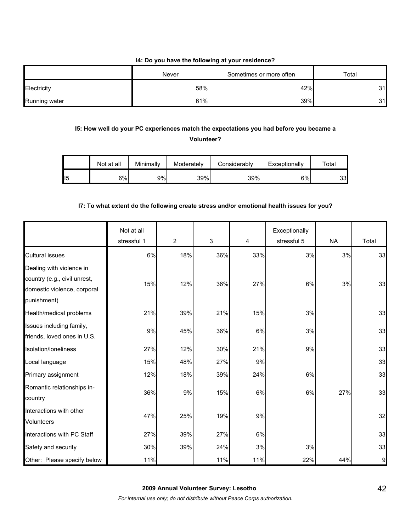#### **I4: Do you have the following at your residence?**

|               | Never | Sometimes or more often | Total |
|---------------|-------|-------------------------|-------|
| Electricity   | 58%   | 42%                     | 31    |
| Running water | 61%   | 39%                     | 31    |

### **I5: How well do your PC experiences match the expectations you had before you became a Volunteer?**

|     | Not at all | Minimally | Moderately | Considerablv | Exceptionally | $\tau$ otal |
|-----|------------|-----------|------------|--------------|---------------|-------------|
| 115 | 6%         | 9%l       | 39%        | 39%          | 6%            | 33          |

#### **I7: To what extent do the following create stress and/or emotional health issues for you?**

|                                                                                                        | Not at all<br>stressful 1 | $\overline{2}$ | $\mathfrak{S}$ | 4   | Exceptionally<br>stressful 5 | <b>NA</b> | Total |
|--------------------------------------------------------------------------------------------------------|---------------------------|----------------|----------------|-----|------------------------------|-----------|-------|
| <b>Cultural issues</b>                                                                                 | 6%                        | 18%            | 36%            | 33% | 3%                           | 3%        | 33    |
| Dealing with violence in<br>country (e.g., civil unrest,<br>domestic violence, corporal<br>punishment) | 15%                       | 12%            | 36%            | 27% | 6%                           | 3%        | 33    |
| Health/medical problems                                                                                | 21%                       | 39%            | 21%            | 15% | 3%                           |           | 33    |
| Issues including family,<br>friends, loved ones in U.S.                                                | 9%                        | 45%            | 36%            | 6%  | 3%                           |           | 33    |
| Isolation/loneliness                                                                                   | 27%                       | 12%            | 30%            | 21% | 9%                           |           | 33    |
| Local language                                                                                         | 15%                       | 48%            | 27%            | 9%  |                              |           | 33    |
| Primary assignment                                                                                     | 12%                       | 18%            | 39%            | 24% | 6%                           |           | 33    |
| Romantic relationships in-<br>country                                                                  | 36%                       | 9%             | 15%            | 6%  | 6%                           | 27%       | 33    |
| Interactions with other<br><b>Volunteers</b>                                                           | 47%                       | 25%            | 19%            | 9%  |                              |           | 32    |
| Interactions with PC Staff                                                                             | 27%                       | 39%            | 27%            | 6%  |                              |           | 33    |
| Safety and security                                                                                    | 30%                       | 39%            | 24%            | 3%  | 3%                           |           | 33    |
| Other: Please specify below                                                                            | 11%                       |                | 11%            | 11% | 22%                          | 44%       | 9     |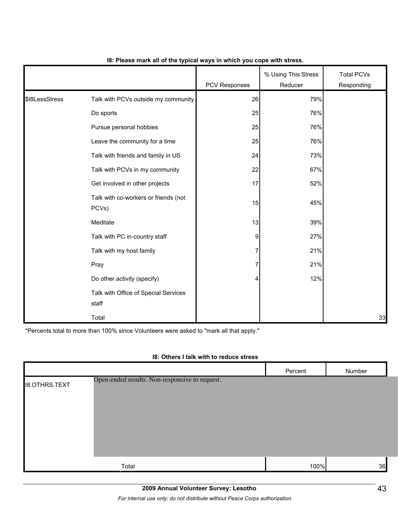|                |                                               | PCV Responses | % Using This Stress<br>Reducer | <b>Total PCVs</b><br>Responding |
|----------------|-----------------------------------------------|---------------|--------------------------------|---------------------------------|
| \$18LessStress | Talk with PCVs outside my community           | 26            | 79%                            |                                 |
|                | Do sports                                     | 25            | 76%                            |                                 |
|                | Pursue personal hobbies                       | 25            | 76%                            |                                 |
|                | Leave the community for a time                | 25            | 76%                            |                                 |
|                | Talk with friends and family in US            | 24            | 73%                            |                                 |
|                | Talk with PCVs in my community                | 22            | 67%                            |                                 |
|                | Get involved in other projects                | 17            | 52%                            |                                 |
|                | Talk with co-workers or friends (not<br>PCVs) | 15            | 45%                            |                                 |
|                | Meditate                                      | 13            | 39%                            |                                 |
|                | Talk with PC in-country staff                 | 9             | 27%                            |                                 |
|                | Talk with my host family                      | 7             | 21%                            |                                 |
|                | Pray                                          | 7             | 21%                            |                                 |
|                | Do other activity (specify)                   | 4             | 12%                            |                                 |
|                | Talk with Office of Special Services<br>staff |               |                                |                                 |
|                | Total                                         |               |                                | 33                              |

#### **I8: Please mark all of the typical ways in which you cope with stress.**

\*Percents total to more than 100% since Volunteers were asked to "mark all that apply."

#### **I8: Others I talk with to reduce stress**

|                      |                                                | Percent | Number |
|----------------------|------------------------------------------------|---------|--------|
| <b>I8.OTHRS.TEXT</b> | Open-ended results. Non-responsive to request. |         |        |
|                      | Total                                          | 100%    | 36     |

*For internal use only; do not distribute without Peace Corps authorization.*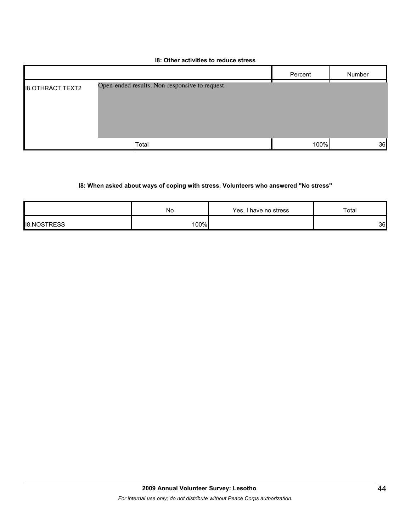#### **I8: Other activities to reduce stress**

|                         |                                                | Percent | Number |
|-------------------------|------------------------------------------------|---------|--------|
| <b>I8.OTHRACT.TEXT2</b> | Open-ended results. Non-responsive to request. |         |        |
|                         | Total                                          | 100%    | 36     |

## **I8: When asked about ways of coping with stress, Volunteers who answered "No stress"**

|                                  | No   | Yes, I have no stress | Total |
|----------------------------------|------|-----------------------|-------|
| <b>NOTDECC</b><br>II8.NC<br>הכאד | 100% |                       | 36    |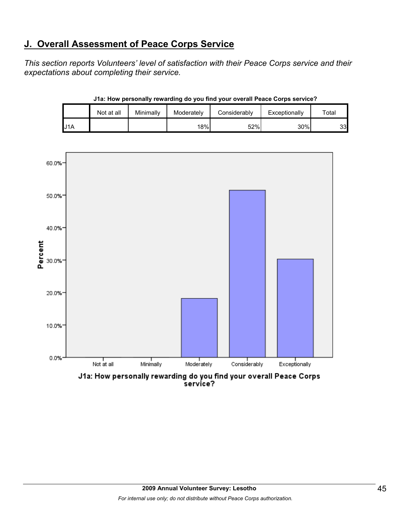## **J. Overall Assessment of Peace Corps Service**

*This section reports Volunteers' level of satisfaction with their Peace Corps service and their expectations about completing their service.* 

|     | Not at all | Minimally | Moderately | Considerably | Exceptionally | Total |
|-----|------------|-----------|------------|--------------|---------------|-------|
| J1A |            |           | 18%        | 52%          | 30%           | 33    |

**J1a: How personally rewarding do you find your overall Peace Corps service?**



J1a: How personally rewarding do you find your overall Peace Corps<br>service?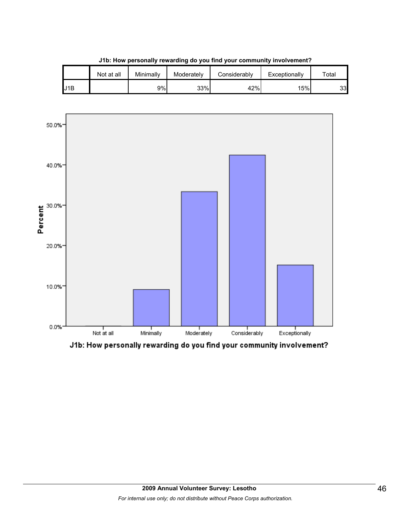|     | Not at all | Minimally | Moderately | Considerably | Exceptionally | Total |
|-----|------------|-----------|------------|--------------|---------------|-------|
| J1B |            | 9%        | 33%        | 42%          | 15%           | 33    |

**J1b: How personally rewarding do you find your community involvement?**



J1b: How personally rewarding do you find your community involvement?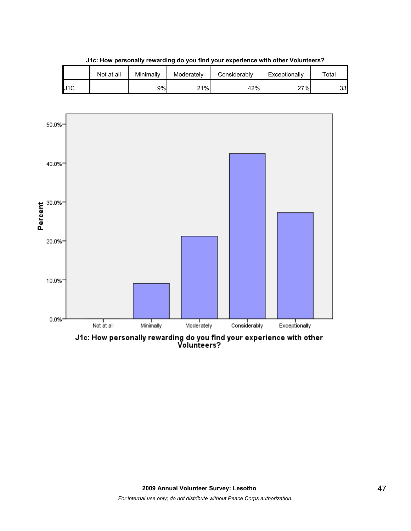|     | Not at all | Minimallv | Moderately | Considerably | Exceptionally | $\tau$ otal |
|-----|------------|-----------|------------|--------------|---------------|-------------|
| J1C |            | 9%        | 21%        | 42%          | 27%           | 33          |

**J1c: How personally rewarding do you find your experience with other Volunteers?**



J1c: How personally rewarding do you find your experience with other<br>Volunteers?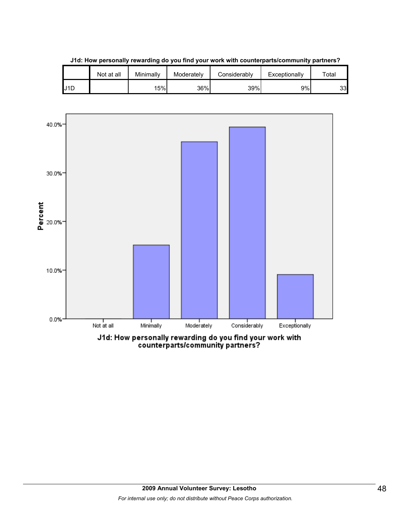|     | Not at all | Minimallv | Moderately | Considerably | Exceptionally | $\tau$ otal |
|-----|------------|-----------|------------|--------------|---------------|-------------|
| U1D |            | 15%       | 36%        | 39%          | 9%            | 33          |

**J1d: How personally rewarding do you find your work with counterparts/community partners?**

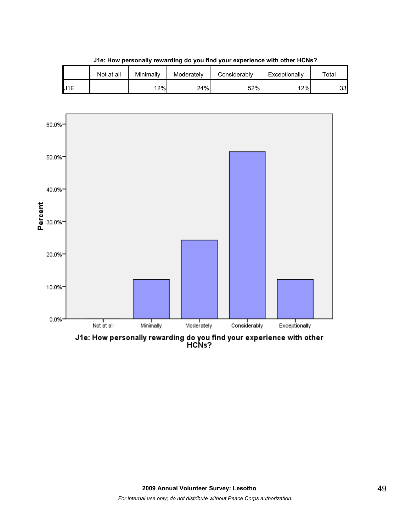

**J1e: How personally rewarding do you find your experience with other HCNs?**

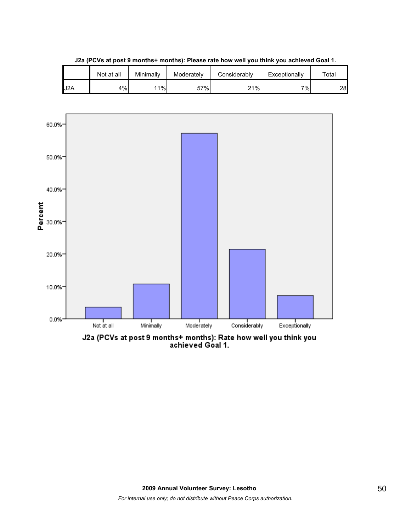

**J2a (PCVs at post 9 months+ months): Please rate how well you think you achieved Goal 1.**

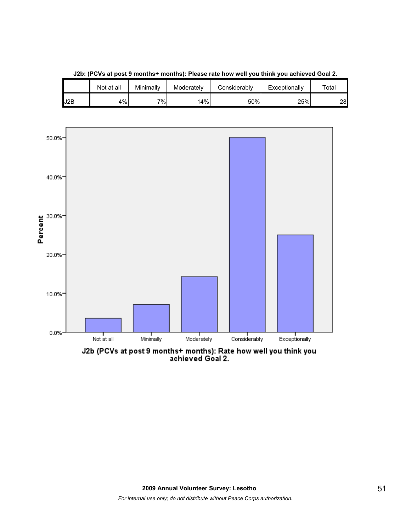

**J2b: (PCVs at post 9 months+ months): Please rate how well you think you achieved Goal 2.**

J2b (PCVs at post 9 months+ months): Rate how well you think you<br>achieved Goal 2.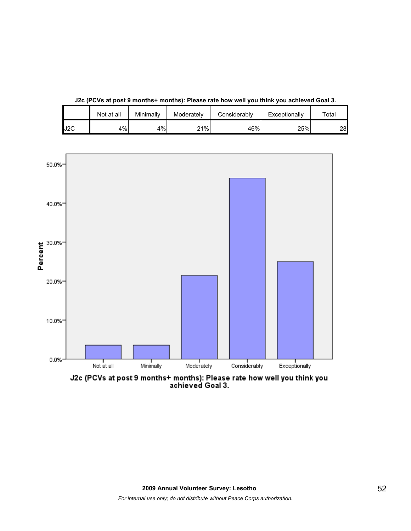|     | Not at all | Minimally | Moderately | Considerably | Exceptionally | $\tau$ otal |
|-----|------------|-----------|------------|--------------|---------------|-------------|
| J2C | 4%         | 4%        | 21%        | 46%          | 25%           | 28          |

**J2c (PCVs at post 9 months+ months): Please rate how well you think you achieved Goal 3.**



J2c (PCVs at post 9 months+ months): Please rate how well you think you<br>achieved Goal 3.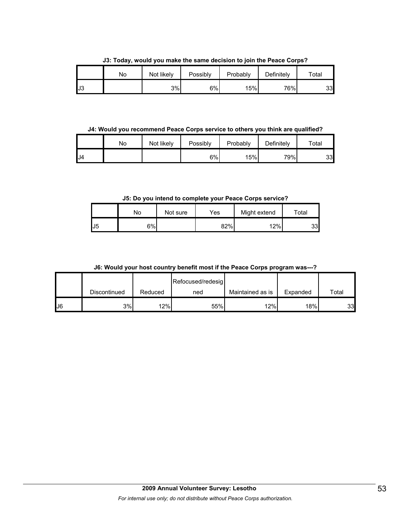**J3: Today, would you make the same decision to join the Peace Corps?**

|     | No | Not likely | Possibly | Probably | Definitely | Total |
|-----|----|------------|----------|----------|------------|-------|
| IJЗ |    | 3%         | $6\%$    | 15%      | 76%        | 33    |

**J4: Would you recommend Peace Corps service to others you think are qualified?**

|     | No | Not likely | Possibly | Probably | Definitely | ™ota⊩ |
|-----|----|------------|----------|----------|------------|-------|
| .J4 |    |            | 6%       | 15%      | 79%        | 33    |

**J5: Do you intend to complete your Peace Corps service?**

|    | No  | Not sure | Yes | Might extend | Total |
|----|-----|----------|-----|--------------|-------|
| J5 | 6%l |          | 82% | 12%          | 33    |

**J6: Would your host country benefit most if the Peace Corps program was---?**

|    |              |         | Refocused/redesig |                  |          |       |
|----|--------------|---------|-------------------|------------------|----------|-------|
|    | Discontinued | Reduced | ned               | Maintained as is | Expanded | Total |
| J6 | 3%           | 12%     | 55%               | 12%              | 18%      | 33    |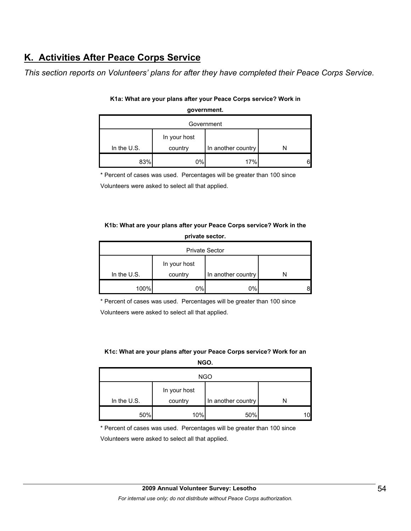## **K. Activities After Peace Corps Service**

*This section reports on Volunteers' plans for after they have completed their Peace Corps Service.* 

| Government    |                         |                    |  |  |  |
|---------------|-------------------------|--------------------|--|--|--|
| In the $U.S.$ | In your host<br>country | In another country |  |  |  |
| 83%           | 0%                      | 17%                |  |  |  |

#### **K1a: What are your plans after your Peace Corps service? Work in government.**

\* Percent of cases was used. Percentages will be greater than 100 since

Volunteers were asked to select all that applied.

#### **K1b: What are your plans after your Peace Corps service? Work in the private sector.**

| <b>Private Sector</b> |                         |                    |  |  |  |
|-----------------------|-------------------------|--------------------|--|--|--|
| In the $U.S.$         | In your host<br>country | In another country |  |  |  |
|                       |                         |                    |  |  |  |
| 100%                  | 0%l                     | 0%                 |  |  |  |

\* Percent of cases was used. Percentages will be greater than 100 since

Volunteers were asked to select all that applied.

#### **K1c: What are your plans after your Peace Corps service? Work for an NGO.**

| <b>NGO</b>  |              |                    |  |  |
|-------------|--------------|--------------------|--|--|
|             | In your host |                    |  |  |
| In the U.S. | country      | In another country |  |  |
| 50%         | 10%          | 50%                |  |  |

\* Percent of cases was used. Percentages will be greater than 100 since

Volunteers were asked to select all that applied.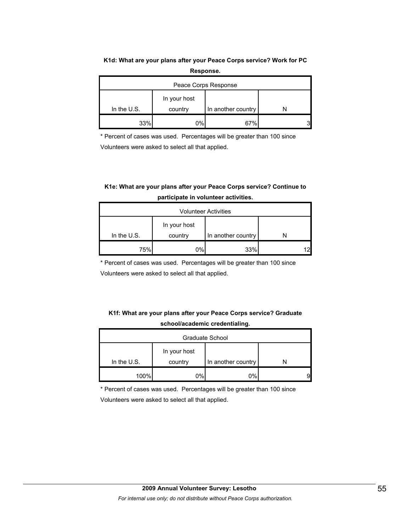#### **K1d: What are your plans after your Peace Corps service? Work for PC Response.**

| Peace Corps Response |              |                    |  |  |
|----------------------|--------------|--------------------|--|--|
|                      | In your host |                    |  |  |
| In the $U.S.$        | country      | In another country |  |  |
| 33%                  | 0%           | 67%                |  |  |

\* Percent of cases was used. Percentages will be greater than 100 since

Volunteers were asked to select all that applied.

### **K1e: What are your plans after your Peace Corps service? Continue to participate in volunteer activities.**

| <b>Volunteer Activities</b> |              |                    |  |  |
|-----------------------------|--------------|--------------------|--|--|
|                             | In your host |                    |  |  |
| In the $U.S.$               | country      | In another country |  |  |
| 75%                         | 0%           | 33%                |  |  |

\* Percent of cases was used. Percentages will be greater than 100 since

Volunteers were asked to select all that applied.

### **K1f: What are your plans after your Peace Corps service? Graduate school/academic credentialing.**

| Graduate School |                         |                    |  |  |
|-----------------|-------------------------|--------------------|--|--|
| In the $U.S.$   | In your host<br>country | In another country |  |  |
| 100%            | 0%l                     | $0\%$              |  |  |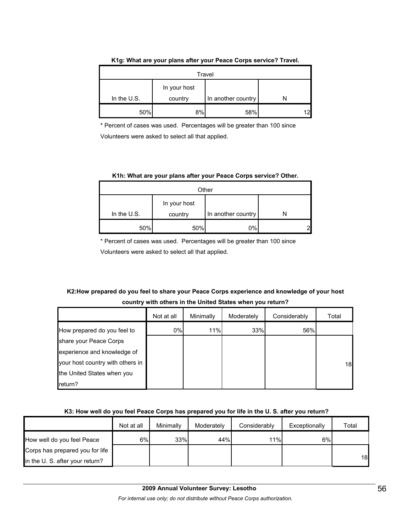| Travel      |                         |                    |  |  |
|-------------|-------------------------|--------------------|--|--|
| In the U.S. | In your host<br>country | In another country |  |  |
| 50%         | 8%                      | 58%                |  |  |

#### **K1g: What are your plans after your Peace Corps service? Travel.**

\* Percent of cases was used. Percentages will be greater than 100 since Volunteers were asked to select all that applied.

#### **K1h: What are your plans after your Peace Corps service? Other.**

| Other       |              |                    |  |  |
|-------------|--------------|--------------------|--|--|
|             | In your host |                    |  |  |
| In the U.S. | country      | In another country |  |  |
| 50%         | 50%          | 0%                 |  |  |

\* Percent of cases was used. Percentages will be greater than 100 since

Volunteers were asked to select all that applied.

## **K2:How prepared do you feel to share your Peace Corps experience and knowledge of your host country with others in the United States when you return?**

|                                  | Not at all | Minimally | Moderately | Considerably | Total |
|----------------------------------|------------|-----------|------------|--------------|-------|
| How prepared do you feel to      | 0%         | 11%       | 33%        | 56%          |       |
| share your Peace Corps           |            |           |            |              |       |
| experience and knowledge of      |            |           |            |              |       |
| your host country with others in |            |           |            |              | 18    |
| the United States when you       |            |           |            |              |       |
| return?                          |            |           |            |              |       |

### **K3: How well do you feel Peace Corps has prepared you for life in the U. S. after you return?**

|                                 | Not at all | Minimally | Moderately | Considerably | Exceptionally | Total |
|---------------------------------|------------|-----------|------------|--------------|---------------|-------|
| How well do you feel Peace      | 6%l        | 33%       | 44%        | 11%          | 6%            |       |
| Corps has prepared you for life |            |           |            |              |               |       |
| in the U. S. after your return? |            |           |            |              |               | 18    |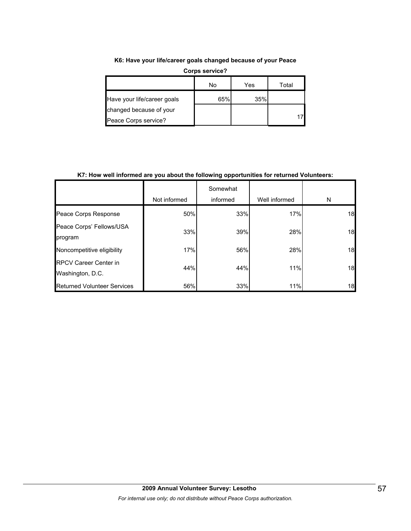**K6: Have your life/career goals changed because of your Peace** 

|                             | No  | Yes | Total |
|-----------------------------|-----|-----|-------|
| Have your life/career goals | 65% | 35% |       |
| changed because of your     |     |     |       |
| Peace Corps service?        |     |     |       |

**Corps service?**

**K7: How well informed are you about the following opportunities for returned Volunteers:** 

|                                                  | Not informed | Somewhat<br>informed | Well informed | N  |
|--------------------------------------------------|--------------|----------------------|---------------|----|
| Peace Corps Response                             | 50%          | 33%                  | 17%           | 18 |
| Peace Corps' Fellows/USA<br>program              | 33%          | 39%                  | 28%           | 18 |
| Noncompetitive eligibility                       | 17%          | 56%                  | 28%           | 18 |
| <b>RPCV Career Center in</b><br>Washington, D.C. | 44%          | 44%                  | 11%           | 18 |
| <b>Returned Volunteer Services</b>               | 56%          | 33%                  | 11%           | 18 |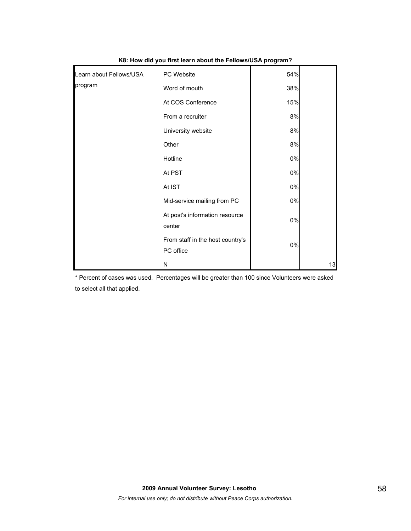| Learn about Fellows/USA | PC Website                                    | 54%   |    |
|-------------------------|-----------------------------------------------|-------|----|
| program                 | Word of mouth                                 | 38%   |    |
|                         | At COS Conference                             | 15%   |    |
|                         | From a recruiter                              | 8%    |    |
|                         | University website                            | 8%    |    |
|                         | Other                                         | 8%    |    |
|                         | Hotline                                       | $0\%$ |    |
|                         | At PST                                        | $0\%$ |    |
|                         | At IST                                        | $0\%$ |    |
|                         | Mid-service mailing from PC                   | $0\%$ |    |
|                         | At post's information resource<br>center      | $0\%$ |    |
|                         | From staff in the host country's<br>PC office | 0%    |    |
|                         | Ν                                             |       | 13 |

#### **K8: How did you first learn about the Fellows/USA program?**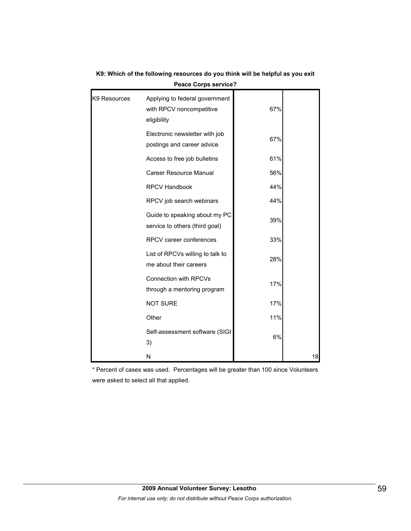| K9 Resources | Applying to federal government<br>with RPCV noncompetitive<br>eligibility | 67% |    |
|--------------|---------------------------------------------------------------------------|-----|----|
|              | Electronic newsletter with job<br>postings and career advice              | 67% |    |
|              | Access to free job bulletins                                              | 61% |    |
|              | <b>Career Resource Manual</b>                                             | 56% |    |
|              | <b>RPCV Handbook</b>                                                      | 44% |    |
|              | RPCV job search webinars                                                  | 44% |    |
|              | Guide to speaking about my PC<br>service to others (third goal)           | 39% |    |
|              | RPCV career conferences                                                   | 33% |    |
|              | List of RPCVs willing to talk to<br>me about their careers                | 28% |    |
|              | <b>Connection with RPCVs</b><br>through a mentoring program               | 17% |    |
|              | <b>NOT SURE</b>                                                           | 17% |    |
|              | Other                                                                     | 11% |    |
|              | Self-assessment software (SIGI<br>3)                                      | 6%  |    |
|              | N                                                                         |     | 18 |

### **K9: Which of the following resources do you think will be helpful as you exit Peace Corps service?**